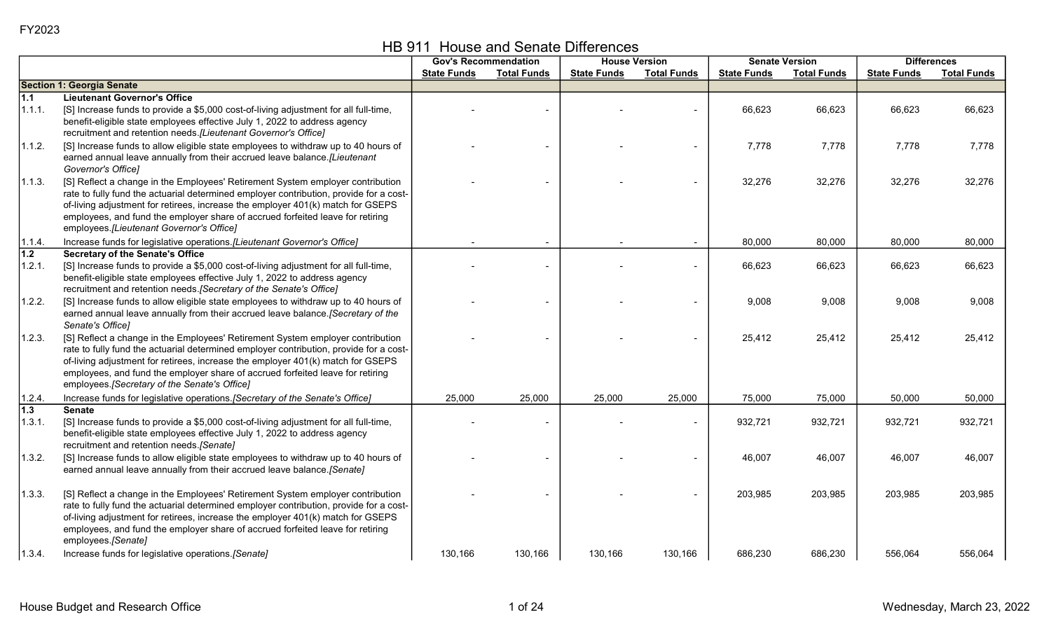|  | HB 911 House and Senate Differences |
|--|-------------------------------------|
|--|-------------------------------------|

|                            |                                                                                                                                                                                                                                                                                                                                                                                                |                    | <b>Gov's Recommendation</b> |                    | <b>House Version</b> | <b>Senate Version</b> |                    |                    | <b>Differences</b> |
|----------------------------|------------------------------------------------------------------------------------------------------------------------------------------------------------------------------------------------------------------------------------------------------------------------------------------------------------------------------------------------------------------------------------------------|--------------------|-----------------------------|--------------------|----------------------|-----------------------|--------------------|--------------------|--------------------|
|                            |                                                                                                                                                                                                                                                                                                                                                                                                | <b>State Funds</b> | <b>Total Funds</b>          | <b>State Funds</b> | <b>Total Funds</b>   | <b>State Funds</b>    | <b>Total Funds</b> | <b>State Funds</b> | <b>Total Funds</b> |
|                            | <b>Section 1: Georgia Senate</b>                                                                                                                                                                                                                                                                                                                                                               |                    |                             |                    |                      |                       |                    |                    |                    |
| 1.1                        | <b>Lieutenant Governor's Office</b>                                                                                                                                                                                                                                                                                                                                                            |                    |                             |                    |                      |                       |                    |                    |                    |
| 1.1.1.                     | [S] Increase funds to provide a \$5,000 cost-of-living adjustment for all full-time,<br>benefit-eligible state employees effective July 1, 2022 to address agency<br>recruitment and retention needs. [Lieutenant Governor's Office]                                                                                                                                                           |                    |                             |                    |                      | 66,623                | 66,623             | 66,623             | 66,623             |
| 1.1.2.                     | [S] Increase funds to allow eligible state employees to withdraw up to 40 hours of<br>earned annual leave annually from their accrued leave balance. [Lieutenant<br>Governor's Office]                                                                                                                                                                                                         |                    |                             |                    |                      | 7,778                 | 7,778              | 7,778              | 7,778              |
| 1.1.3.                     | [S] Reflect a change in the Employees' Retirement System employer contribution<br>rate to fully fund the actuarial determined employer contribution, provide for a cost-<br>of-living adjustment for retirees, increase the employer 401(k) match for GSEPS<br>employees, and fund the employer share of accrued forfeited leave for retiring<br>employees.[Lieutenant Governor's Office]      |                    |                             |                    |                      | 32,276                | 32,276             | 32,276             | 32,276             |
| 1.1.4.                     | Increase funds for legislative operations.[Lieutenant Governor's Office]                                                                                                                                                                                                                                                                                                                       |                    |                             |                    |                      | 80,000                | 80,000             | 80,000             | 80,000             |
| $\overline{1.2}$<br>1.2.1. | <b>Secretary of the Senate's Office</b><br>[S] Increase funds to provide a \$5,000 cost-of-living adjustment for all full-time,<br>benefit-eligible state employees effective July 1, 2022 to address agency<br>recruitment and retention needs. [Secretary of the Senate's Office]                                                                                                            |                    |                             |                    |                      | 66,623                | 66,623             | 66,623             | 66,623             |
| 1.2.2.                     | [S] Increase funds to allow eligible state employees to withdraw up to 40 hours of<br>earned annual leave annually from their accrued leave balance. [Secretary of the<br>Senate's Office]                                                                                                                                                                                                     |                    |                             |                    |                      | 9,008                 | 9,008              | 9,008              | 9,008              |
| 1.2.3.                     | [S] Reflect a change in the Employees' Retirement System employer contribution<br>rate to fully fund the actuarial determined employer contribution, provide for a cost-<br>of-living adjustment for retirees, increase the employer 401(k) match for GSEPS<br>employees, and fund the employer share of accrued forfeited leave for retiring<br>employees. [Secretary of the Senate's Office] |                    |                             |                    |                      | 25,412                | 25,412             | 25,412             | 25,412             |
| 1.2.4.                     | Increase funds for legislative operations. [Secretary of the Senate's Office]                                                                                                                                                                                                                                                                                                                  | 25,000             | 25,000                      | 25,000             | 25,000               | 75,000                | 75,000             | 50,000             | 50,000             |
| $\overline{1.3}$<br>1.3.1. | <b>Senate</b><br>[S] Increase funds to provide a \$5,000 cost-of-living adjustment for all full-time,<br>benefit-eligible state employees effective July 1, 2022 to address agency<br>recruitment and retention needs.[Senate]                                                                                                                                                                 |                    |                             |                    |                      | 932,721               | 932,721            | 932,721            | 932,721            |
| 1.3.2.                     | [S] Increase funds to allow eligible state employees to withdraw up to 40 hours of<br>earned annual leave annually from their accrued leave balance.[Senate]                                                                                                                                                                                                                                   |                    |                             |                    |                      | 46,007                | 46,007             | 46,007             | 46,007             |
| 1.3.3.                     | [S] Reflect a change in the Employees' Retirement System employer contribution<br>rate to fully fund the actuarial determined employer contribution, provide for a cost-<br>of-living adjustment for retirees, increase the employer 401(k) match for GSEPS<br>employees, and fund the employer share of accrued forfeited leave for retiring<br>employees.[Senate]                            |                    |                             |                    |                      | 203,985               | 203,985            | 203,985            | 203,985            |
| 1.3.4.                     | Increase funds for legislative operations. [Senate]                                                                                                                                                                                                                                                                                                                                            | 130,166            | 130,166                     | 130,166            | 130,166              | 686,230               | 686,230            | 556,064            | 556,064            |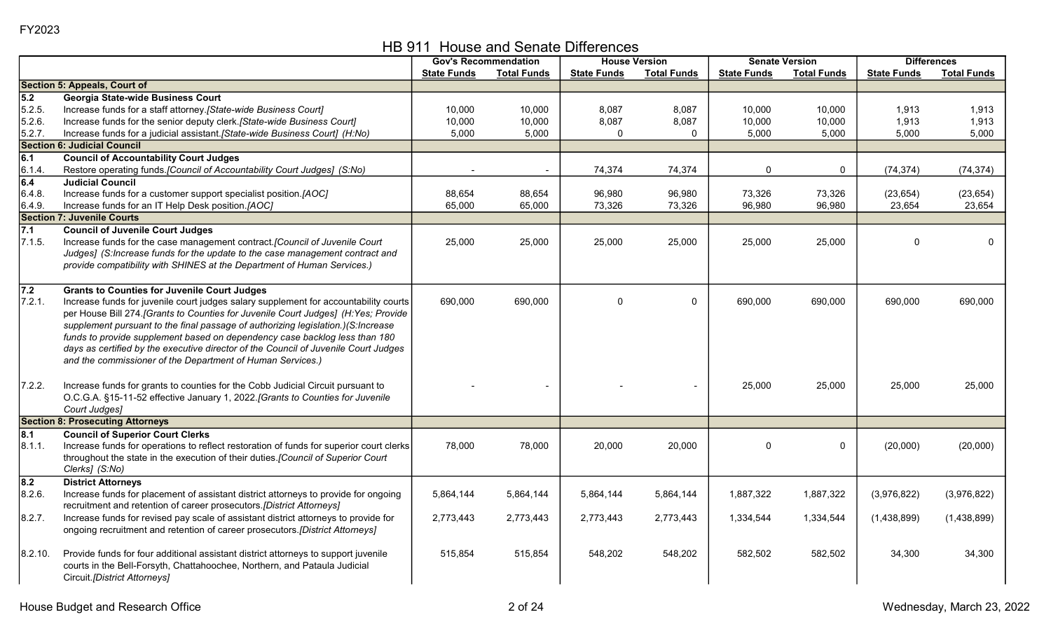HB 911 House and Senate Differences

|         |                                                                                         |                    | <b>Gov's Recommendation</b> |                    | <b>House Version</b> |                    | <b>Senate Version</b> |                    | <b>Differences</b> |
|---------|-----------------------------------------------------------------------------------------|--------------------|-----------------------------|--------------------|----------------------|--------------------|-----------------------|--------------------|--------------------|
|         |                                                                                         | <b>State Funds</b> | <b>Total Funds</b>          | <b>State Funds</b> | <b>Total Funds</b>   | <b>State Funds</b> | <b>Total Funds</b>    | <b>State Funds</b> | <b>Total Funds</b> |
|         | <b>Section 5: Appeals, Court of</b>                                                     |                    |                             |                    |                      |                    |                       |                    |                    |
| 5.2     | Georgia State-wide Business Court                                                       |                    |                             |                    |                      |                    |                       |                    |                    |
| 5.2.5.  | Increase funds for a staff attorney. [State-wide Business Court]                        | 10,000             | 10,000                      | 8,087              | 8,087                | 10,000             | 10,000                | 1,913              | 1,913              |
| 5.2.6   | Increase funds for the senior deputy clerk.[State-wide Business Court]                  | 10,000             | 10,000                      | 8,087              | 8,087                | 10,000             | 10,000                | 1,913              | 1,913              |
| 5.2.7.  | Increase funds for a judicial assistant. [State-wide Business Court] (H:No)             | 5,000              | 5,000                       | $\Omega$           | $\mathbf{0}$         | 5,000              | 5,000                 | 5,000              | 5,000              |
|         | <b>Section 6: Judicial Council</b>                                                      |                    |                             |                    |                      |                    |                       |                    |                    |
| 6.1     | <b>Council of Accountability Court Judges</b>                                           |                    |                             |                    |                      |                    |                       |                    |                    |
| 6.1.4   | Restore operating funds. [Council of Accountability Court Judges] (S:No)                |                    |                             | 74,374             | 74,374               | $\Omega$           | 0                     | (74, 374)          | (74, 374)          |
| 6.4     | <b>Judicial Council</b>                                                                 |                    |                             |                    |                      |                    |                       |                    |                    |
| 6.4.8.  | Increase funds for a customer support specialist position.[AOC]                         | 88,654             | 88,654                      | 96,980             | 96,980               | 73,326             | 73,326                | (23, 654)          | (23, 654)          |
| 6.4.9.  | Increase funds for an IT Help Desk position.[AOC]                                       | 65,000             | 65,000                      | 73,326             | 73,326               | 96,980             | 96,980                | 23,654             | 23,654             |
|         | <b>Section 7: Juvenile Courts</b>                                                       |                    |                             |                    |                      |                    |                       |                    |                    |
| 7.1     | <b>Council of Juvenile Court Judges</b>                                                 |                    |                             |                    |                      |                    |                       |                    |                    |
| 7.1.5.  | Increase funds for the case management contract.[Council of Juvenile Court              | 25,000             | 25,000                      | 25,000             | 25,000               | 25,000             | 25,000                | $\Omega$           | $\mathbf 0$        |
|         | Judges] (S:Increase funds for the update to the case management contract and            |                    |                             |                    |                      |                    |                       |                    |                    |
|         | provide compatibility with SHINES at the Department of Human Services.)                 |                    |                             |                    |                      |                    |                       |                    |                    |
|         |                                                                                         |                    |                             |                    |                      |                    |                       |                    |                    |
| 7.2     | <b>Grants to Counties for Juvenile Court Judges</b>                                     |                    |                             |                    |                      |                    |                       |                    |                    |
| 7.2.1.  | Increase funds for juvenile court judges salary supplement for accountability courts    | 690,000            | 690,000                     | $\Omega$           | 0                    | 690,000            | 690,000               | 690,000            | 690,000            |
|         | per House Bill 274. [Grants to Counties for Juvenile Court Judges] (H:Yes; Provide      |                    |                             |                    |                      |                    |                       |                    |                    |
|         | supplement pursuant to the final passage of authorizing legislation.)(S:Increase        |                    |                             |                    |                      |                    |                       |                    |                    |
|         | funds to provide supplement based on dependency case backlog less than 180              |                    |                             |                    |                      |                    |                       |                    |                    |
|         | days as certified by the executive director of the Council of Juvenile Court Judges     |                    |                             |                    |                      |                    |                       |                    |                    |
|         | and the commissioner of the Department of Human Services.)                              |                    |                             |                    |                      |                    |                       |                    |                    |
|         |                                                                                         |                    |                             |                    |                      |                    |                       |                    |                    |
| 7.2.2.  | Increase funds for grants to counties for the Cobb Judicial Circuit pursuant to         |                    |                             |                    |                      | 25,000             | 25,000                | 25,000             | 25,000             |
|         | O.C.G.A. §15-11-52 effective January 1, 2022.[Grants to Counties for Juvenile           |                    |                             |                    |                      |                    |                       |                    |                    |
|         | Court Judges]                                                                           |                    |                             |                    |                      |                    |                       |                    |                    |
|         | <b>Section 8: Prosecuting Attorneys</b>                                                 |                    |                             |                    |                      |                    |                       |                    |                    |
| 8.1     | <b>Council of Superior Court Clerks</b>                                                 |                    |                             |                    |                      |                    |                       |                    |                    |
| 8.1.1.  | Increase funds for operations to reflect restoration of funds for superior court clerks | 78,000             | 78,000                      | 20,000             | 20,000               | $\Omega$           | 0                     | (20,000)           | (20,000)           |
|         | throughout the state in the execution of their duties. [Council of Superior Court       |                    |                             |                    |                      |                    |                       |                    |                    |
|         | Clerks] (S:No)                                                                          |                    |                             |                    |                      |                    |                       |                    |                    |
| 8.2     | <b>District Attornevs</b>                                                               |                    |                             |                    |                      |                    |                       |                    |                    |
| 8.2.6   | Increase funds for placement of assistant district attorneys to provide for ongoing     | 5,864,144          | 5,864,144                   | 5,864,144          | 5,864,144            | 1,887,322          | 1,887,322             | (3,976,822)        | (3,976,822)        |
|         | recruitment and retention of career prosecutors.[District Attorneys]                    |                    |                             |                    |                      |                    |                       |                    |                    |
| 8.2.7.  | Increase funds for revised pay scale of assistant district attorneys to provide for     | 2,773,443          | 2,773,443                   | 2,773,443          | 2,773,443            | 1,334,544          | 1,334,544             | (1,438,899)        | (1,438,899)        |
|         | ongoing recruitment and retention of career prosecutors.[District Attorneys]            |                    |                             |                    |                      |                    |                       |                    |                    |
|         |                                                                                         |                    |                             |                    |                      |                    |                       |                    |                    |
| 8.2.10. | Provide funds for four additional assistant district attorneys to support juvenile      | 515,854            | 515,854                     | 548,202            | 548,202              | 582,502            | 582,502               | 34,300             | 34,300             |
|         | courts in the Bell-Forsyth, Chattahoochee, Northern, and Pataula Judicial               |                    |                             |                    |                      |                    |                       |                    |                    |
|         | Circuit.[District Attorneys]                                                            |                    |                             |                    |                      |                    |                       |                    |                    |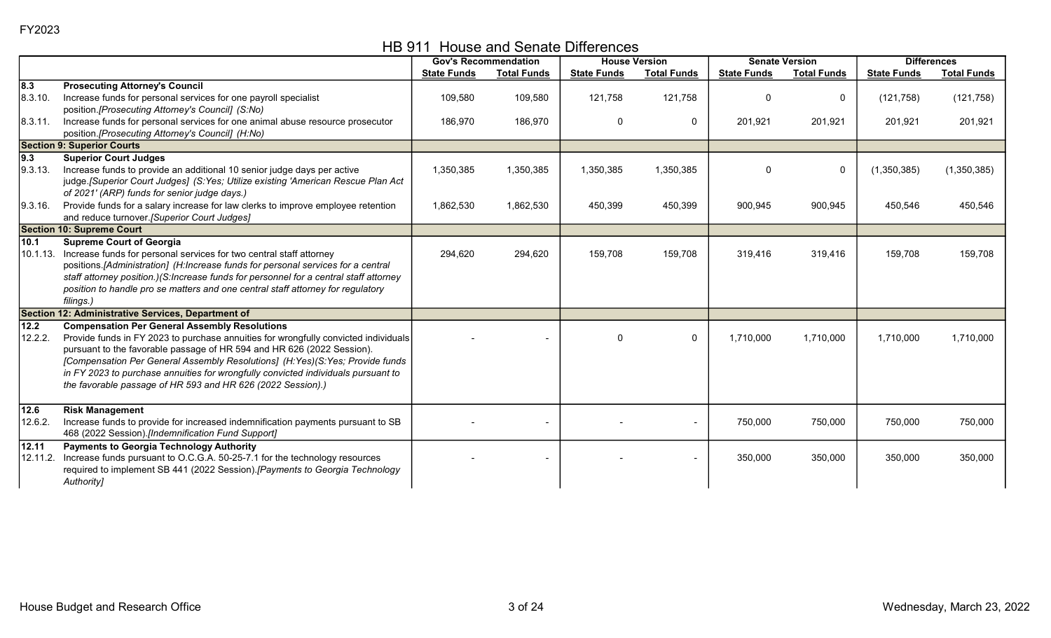HB 911 House and Senate Differences

|          |                                                                                       |                    | <b>Gov's Recommendation</b> |                    | <b>House Version</b> |                    | <b>Senate Version</b> | <b>Differences</b> |                    |
|----------|---------------------------------------------------------------------------------------|--------------------|-----------------------------|--------------------|----------------------|--------------------|-----------------------|--------------------|--------------------|
|          |                                                                                       | <b>State Funds</b> | <b>Total Funds</b>          | <b>State Funds</b> | <b>Total Funds</b>   | <b>State Funds</b> | <b>Total Funds</b>    | <b>State Funds</b> | <b>Total Funds</b> |
| 8.3      | <b>Prosecuting Attorney's Council</b>                                                 |                    |                             |                    |                      |                    |                       |                    |                    |
| 8.3.10.  | Increase funds for personal services for one payroll specialist                       | 109,580            | 109,580                     | 121,758            | 121,758              |                    | $\mathbf{0}$          | (121, 758)         | (121, 758)         |
|          | position.[Prosecuting Attorney's Council] (S:No)                                      |                    |                             |                    |                      |                    |                       |                    |                    |
| 8.3.11.  | Increase funds for personal services for one animal abuse resource prosecutor         | 186,970            | 186,970                     | $\mathbf{0}$       | $\mathbf 0$          | 201,921            | 201,921               | 201,921            | 201,921            |
|          | position.[Prosecuting Attorney's Council] (H:No)                                      |                    |                             |                    |                      |                    |                       |                    |                    |
|          | <b>Section 9: Superior Courts</b>                                                     |                    |                             |                    |                      |                    |                       |                    |                    |
| 9.3      | <b>Superior Court Judges</b>                                                          |                    |                             |                    |                      |                    |                       |                    |                    |
| 9.3.13.  | Increase funds to provide an additional 10 senior judge days per active               | 1,350,385          | 1,350,385                   | 1,350,385          | 1,350,385            | $\Omega$           | $\mathbf 0$           | (1,350,385)        | (1,350,385)        |
|          | judge.[Superior Court Judges] (S:Yes; Utilize existing 'American Rescue Plan Act      |                    |                             |                    |                      |                    |                       |                    |                    |
|          | of 2021' (ARP) funds for senior judge days.)                                          |                    |                             |                    |                      |                    |                       |                    |                    |
| 9.3.16.  | Provide funds for a salary increase for law clerks to improve employee retention      | 1,862,530          | 1,862,530                   | 450,399            | 450,399              | 900,945            | 900,945               | 450,546            | 450,546            |
|          | and reduce turnover. [Superior Court Judges]                                          |                    |                             |                    |                      |                    |                       |                    |                    |
|          | <b>Section 10: Supreme Court</b>                                                      |                    |                             |                    |                      |                    |                       |                    |                    |
| 10.1     | <b>Supreme Court of Georgia</b>                                                       |                    |                             |                    |                      |                    |                       |                    |                    |
|          | 10.1.13. Increase funds for personal services for two central staff attorney          | 294,620            | 294,620                     | 159,708            | 159,708              | 319,416            | 319,416               | 159,708            | 159,708            |
|          | positions.[Administration] (H:Increase funds for personal services for a central      |                    |                             |                    |                      |                    |                       |                    |                    |
|          | staff attorney position.)(S:Increase funds for personnel for a central staff attorney |                    |                             |                    |                      |                    |                       |                    |                    |
|          | position to handle pro se matters and one central staff attorney for regulatory       |                    |                             |                    |                      |                    |                       |                    |                    |
|          | filings.)                                                                             |                    |                             |                    |                      |                    |                       |                    |                    |
|          | Section 12: Administrative Services, Department of                                    |                    |                             |                    |                      |                    |                       |                    |                    |
| 12.2     | <b>Compensation Per General Assembly Resolutions</b>                                  |                    |                             |                    |                      |                    |                       |                    |                    |
| 12.2.2.  | Provide funds in FY 2023 to purchase annuities for wrongfully convicted individuals   |                    |                             | $\Omega$           | $\mathbf{0}$         | 1,710,000          | 1,710,000             | 1,710,000          | 1,710,000          |
|          | pursuant to the favorable passage of HR 594 and HR 626 (2022 Session).                |                    |                             |                    |                      |                    |                       |                    |                    |
|          | [Compensation Per General Assembly Resolutions] (H:Yes)(S:Yes; Provide funds          |                    |                             |                    |                      |                    |                       |                    |                    |
|          | in FY 2023 to purchase annuities for wrongfully convicted individuals pursuant to     |                    |                             |                    |                      |                    |                       |                    |                    |
|          | the favorable passage of HR 593 and HR 626 (2022 Session).)                           |                    |                             |                    |                      |                    |                       |                    |                    |
|          |                                                                                       |                    |                             |                    |                      |                    |                       |                    |                    |
| 12.6     | <b>Risk Management</b>                                                                |                    |                             |                    |                      |                    |                       |                    |                    |
| 12.6.2.  | Increase funds to provide for increased indemnification payments pursuant to SB       |                    |                             |                    |                      | 750,000            | 750,000               | 750,000            | 750,000            |
|          | 468 (2022 Session).[Indemnification Fund Support]                                     |                    |                             |                    |                      |                    |                       |                    |                    |
| 12.11    | <b>Payments to Georgia Technology Authority</b>                                       |                    |                             |                    |                      |                    |                       |                    |                    |
| 12.11.2. | Increase funds pursuant to O.C.G.A. 50-25-7.1 for the technology resources            |                    |                             |                    |                      | 350,000            | 350,000               | 350,000            | 350,000            |
|          | required to implement SB 441 (2022 Session). [Payments to Georgia Technology          |                    |                             |                    |                      |                    |                       |                    |                    |
|          | Authority]                                                                            |                    |                             |                    |                      |                    |                       |                    |                    |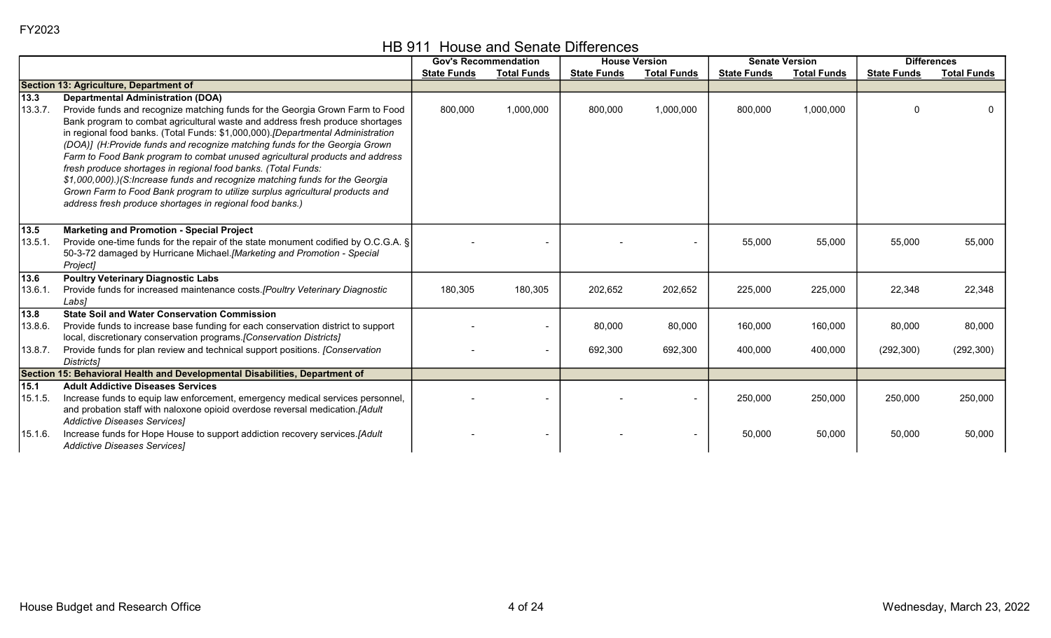|  |  |  | HB 911 House and Senate Differences |
|--|--|--|-------------------------------------|
|--|--|--|-------------------------------------|

|                              |                                                                                                                                                                                                                                                    |                    | <b>Gov's Recommendation</b> |                    | <b>House Version</b> |                    | <b>Senate Version</b> |                    | <b>Differences</b> |
|------------------------------|----------------------------------------------------------------------------------------------------------------------------------------------------------------------------------------------------------------------------------------------------|--------------------|-----------------------------|--------------------|----------------------|--------------------|-----------------------|--------------------|--------------------|
|                              |                                                                                                                                                                                                                                                    | <b>State Funds</b> | <b>Total Funds</b>          | <b>State Funds</b> | <b>Total Funds</b>   | <b>State Funds</b> | <b>Total Funds</b>    | <b>State Funds</b> | <b>Total Funds</b> |
|                              | Section 13: Agriculture, Department of                                                                                                                                                                                                             |                    |                             |                    |                      |                    |                       |                    |                    |
| 13.3                         | <b>Departmental Administration (DOA)</b>                                                                                                                                                                                                           |                    |                             |                    |                      |                    |                       |                    |                    |
| 13.3.7.                      | Provide funds and recognize matching funds for the Georgia Grown Farm to Food<br>Bank program to combat agricultural waste and address fresh produce shortages<br>in regional food banks. (Total Funds: \$1,000,000). [Departmental Administration | 800,000            | 1,000,000                   | 800,000            | 1,000,000            | 800,000            | 1,000,000             | $\Omega$           |                    |
|                              | (DOA)] (H:Provide funds and recognize matching funds for the Georgia Grown<br>Farm to Food Bank program to combat unused agricultural products and address<br>fresh produce shortages in regional food banks. (Total Funds:                        |                    |                             |                    |                      |                    |                       |                    |                    |
|                              | \$1,000,000).)(S: Increase funds and recognize matching funds for the Georgia<br>Grown Farm to Food Bank program to utilize surplus agricultural products and<br>address fresh produce shortages in regional food banks.)                          |                    |                             |                    |                      |                    |                       |                    |                    |
| $\overline{13.5}$<br>13.5.1. | <b>Marketing and Promotion - Special Project</b><br>Provide one-time funds for the repair of the state monument codified by O.C.G.A. §<br>50-3-72 damaged by Hurricane Michael.[Marketing and Promotion - Special<br>Project]                      |                    |                             |                    |                      | 55,000             | 55,000                | 55,000             | 55,000             |
| 13.6<br>13.6.1.              | <b>Poultry Veterinary Diagnostic Labs</b><br>Provide funds for increased maintenance costs. [Poultry Veterinary Diagnostic<br>Labs1                                                                                                                | 180,305            | 180,305                     | 202,652            | 202,652              | 225,000            | 225,000               | 22,348             | 22,348             |
| $\boxed{13.8}$               | <b>State Soil and Water Conservation Commission</b>                                                                                                                                                                                                |                    |                             |                    |                      |                    |                       |                    |                    |
| 13.8.6.                      | Provide funds to increase base funding for each conservation district to support<br>local, discretionary conservation programs.[Conservation Districts]                                                                                            |                    |                             | 80,000             | 80,000               | 160,000            | 160,000               | 80,000             | 80,000             |
| 13.8.7.                      | Provide funds for plan review and technical support positions. [Conservation<br>Districts1                                                                                                                                                         |                    | $\overline{\phantom{0}}$    | 692,300            | 692,300              | 400,000            | 400,000               | (292, 300)         | (292, 300)         |
|                              | Section 15: Behavioral Health and Developmental Disabilities, Department of                                                                                                                                                                        |                    |                             |                    |                      |                    |                       |                    |                    |
| $15.1$                       | <b>Adult Addictive Diseases Services</b>                                                                                                                                                                                                           |                    |                             |                    |                      |                    |                       |                    |                    |
| 15.1.5.                      | Increase funds to equip law enforcement, emergency medical services personnel,<br>and probation staff with naloxone opioid overdose reversal medication.[Adult                                                                                     |                    |                             |                    |                      | 250,000            | 250,000               | 250,000            | 250,000            |
|                              | Addictive Diseases Services]                                                                                                                                                                                                                       |                    |                             |                    |                      |                    |                       |                    |                    |
| 15.1.6.                      | Increase funds for Hope House to support addiction recovery services.[Adult<br>Addictive Diseases Services]                                                                                                                                        |                    |                             |                    |                      | 50,000             | 50,000                | 50,000             | 50,000             |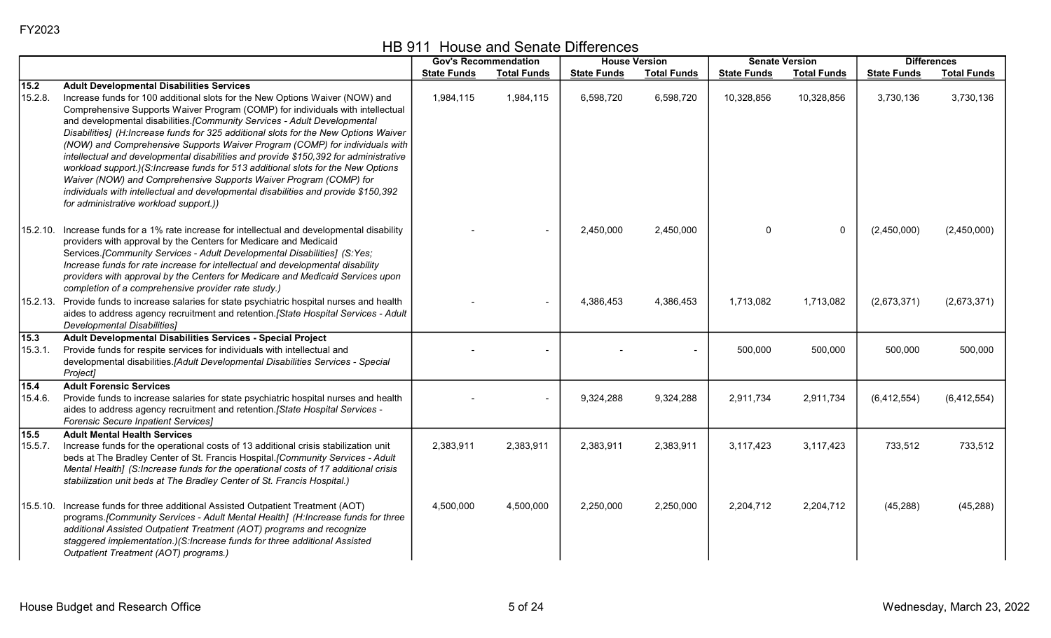HB 911 House and Senate Differences

|                           |                                                                                                                                                                                                                                                                                                                                                                                                                                                                                                                                                                                                                                                                                                                                                                                                                                                        |                    | <b>Gov's Recommendation</b> |                    | <b>House Version</b> |                    | <b>Senate Version</b> |                    | <b>Differences</b> |
|---------------------------|--------------------------------------------------------------------------------------------------------------------------------------------------------------------------------------------------------------------------------------------------------------------------------------------------------------------------------------------------------------------------------------------------------------------------------------------------------------------------------------------------------------------------------------------------------------------------------------------------------------------------------------------------------------------------------------------------------------------------------------------------------------------------------------------------------------------------------------------------------|--------------------|-----------------------------|--------------------|----------------------|--------------------|-----------------------|--------------------|--------------------|
|                           |                                                                                                                                                                                                                                                                                                                                                                                                                                                                                                                                                                                                                                                                                                                                                                                                                                                        | <b>State Funds</b> | <b>Total Funds</b>          | <b>State Funds</b> | <b>Total Funds</b>   | <b>State Funds</b> | <b>Total Funds</b>    | <b>State Funds</b> | <b>Total Funds</b> |
| $15.2$<br>15.2.8.         | <b>Adult Developmental Disabilities Services</b><br>Increase funds for 100 additional slots for the New Options Waiver (NOW) and<br>Comprehensive Supports Waiver Program (COMP) for individuals with intellectual<br>and developmental disabilities. [Community Services - Adult Developmental<br>Disabilities] (H:Increase funds for 325 additional slots for the New Options Waiver<br>(NOW) and Comprehensive Supports Waiver Program (COMP) for individuals with<br>intellectual and developmental disabilities and provide \$150,392 for administrative<br>workload support.)(S:Increase funds for 513 additional slots for the New Options<br>Waiver (NOW) and Comprehensive Supports Waiver Program (COMP) for<br>individuals with intellectual and developmental disabilities and provide \$150,392<br>for administrative workload support.)) | 1,984,115          | 1,984,115                   | 6,598,720          | 6,598,720            | 10,328,856         | 10,328,856            | 3,730,136          | 3,730,136          |
|                           | 15.2.10. Increase funds for a 1% rate increase for intellectual and developmental disability<br>providers with approval by the Centers for Medicare and Medicaid<br>Services.[Community Services - Adult Developmental Disabilities] (S:Yes;<br>Increase funds for rate increase for intellectual and developmental disability<br>providers with approval by the Centers for Medicare and Medicaid Services upon<br>completion of a comprehensive provider rate study.)                                                                                                                                                                                                                                                                                                                                                                                |                    |                             | 2,450,000          | 2,450,000            | $\mathbf{0}$       | $\mathbf 0$           | (2,450,000)        | (2,450,000)        |
|                           | 15.2.13. Provide funds to increase salaries for state psychiatric hospital nurses and health<br>aides to address agency recruitment and retention. [State Hospital Services - Adult<br><b>Developmental Disabilities]</b>                                                                                                                                                                                                                                                                                                                                                                                                                                                                                                                                                                                                                              |                    |                             | 4,386,453          | 4,386,453            | 1,713,082          | 1,713,082             | (2,673,371)        | (2,673,371)        |
| 15.3<br>15.3.1.           | Adult Developmental Disabilities Services - Special Project<br>Provide funds for respite services for individuals with intellectual and<br>developmental disabilities.[Adult Developmental Disabilities Services - Special<br>Project]                                                                                                                                                                                                                                                                                                                                                                                                                                                                                                                                                                                                                 |                    |                             |                    |                      | 500,000            | 500,000               | 500,000            | 500,000            |
| $\boxed{15.4}$<br>15.4.6. | <b>Adult Forensic Services</b><br>Provide funds to increase salaries for state psychiatric hospital nurses and health<br>aides to address agency recruitment and retention. [State Hospital Services -<br>Forensic Secure Inpatient Services]                                                                                                                                                                                                                                                                                                                                                                                                                                                                                                                                                                                                          |                    |                             | 9,324,288          | 9,324,288            | 2,911,734          | 2,911,734             | (6, 412, 554)      | (6,412,554)        |
| 15.5<br>15.5.7.           | <b>Adult Mental Health Services</b><br>Increase funds for the operational costs of 13 additional crisis stabilization unit<br>beds at The Bradley Center of St. Francis Hospital. [Community Services - Adult<br>Mental Health] (S:Increase funds for the operational costs of 17 additional crisis<br>stabilization unit beds at The Bradley Center of St. Francis Hospital.)                                                                                                                                                                                                                                                                                                                                                                                                                                                                         | 2,383,911          | 2,383,911                   | 2,383,911          | 2,383,911            | 3,117,423          | 3,117,423             | 733,512            | 733,512            |
|                           | 15.5.10. Increase funds for three additional Assisted Outpatient Treatment (AOT)<br>programs. [Community Services - Adult Mental Health] (H:Increase funds for three<br>additional Assisted Outpatient Treatment (AOT) programs and recognize<br>staggered implementation.)(S:Increase funds for three additional Assisted<br>Outpatient Treatment (AOT) programs.)                                                                                                                                                                                                                                                                                                                                                                                                                                                                                    | 4,500,000          | 4,500,000                   | 2,250,000          | 2,250,000            | 2,204,712          | 2,204,712             | (45, 288)          | (45, 288)          |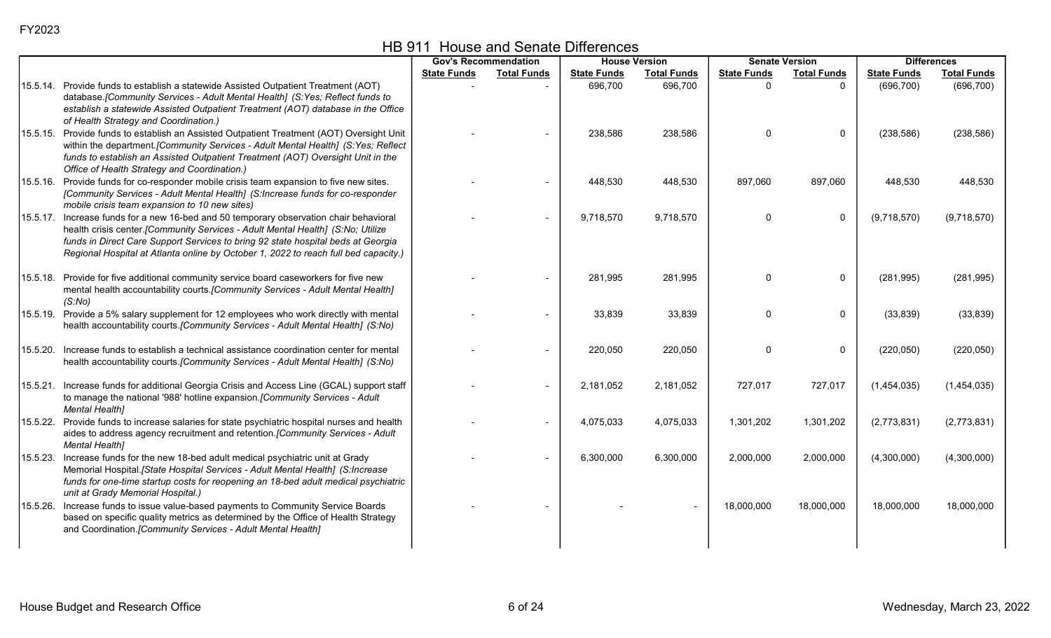|          |                                                                                                                                                                                                                                                                                                                                                      |                    | <b>Gov's Recommendation</b> | <b>House Version</b> |                    | <b>Senate Version</b> |                    | <b>Differences</b> |                    |
|----------|------------------------------------------------------------------------------------------------------------------------------------------------------------------------------------------------------------------------------------------------------------------------------------------------------------------------------------------------------|--------------------|-----------------------------|----------------------|--------------------|-----------------------|--------------------|--------------------|--------------------|
|          |                                                                                                                                                                                                                                                                                                                                                      | <b>State Funds</b> | <b>Total Funds</b>          | <b>State Funds</b>   | <b>Total Funds</b> | <b>State Funds</b>    | <b>Total Funds</b> | <b>State Funds</b> | <b>Total Funds</b> |
|          | 15.5.14. Provide funds to establish a statewide Assisted Outpatient Treatment (AOT)<br>database.[Community Services - Adult Mental Health] (S:Yes; Reflect funds to<br>establish a statewide Assisted Outpatient Treatment (AOT) database in the Office<br>of Health Strategy and Coordination.)                                                     |                    |                             | 696,700              | 696,700            | $\Omega$              | $\Omega$           | (696, 700)         | (696, 700)         |
|          | 15.5.15. Provide funds to establish an Assisted Outpatient Treatment (AOT) Oversight Unit<br>within the department. [Community Services - Adult Mental Health] (S:Yes; Reflect<br>funds to establish an Assisted Outpatient Treatment (AOT) Oversight Unit in the<br>Office of Health Strategy and Coordination.)                                    |                    |                             | 238,586              | 238,586            |                       | 0                  | (238, 586)         | (238, 586)         |
|          | 15.5.16. Provide funds for co-responder mobile crisis team expansion to five new sites.<br>[Community Services - Adult Mental Health] (S:Increase funds for co-responder<br>mobile crisis team expansion to 10 new sites)                                                                                                                            |                    |                             | 448,530              | 448,530            | 897,060               | 897,060            | 448,530            | 448,530            |
|          | 15.5.17. Increase funds for a new 16-bed and 50 temporary observation chair behavioral<br>health crisis center. [Community Services - Adult Mental Health] (S:No; Utilize<br>funds in Direct Care Support Services to bring 92 state hospital beds at Georgia<br>Regional Hospital at Atlanta online by October 1, 2022 to reach full bed capacity.) |                    |                             | 9,718,570            | 9,718,570          | $\Omega$              | $\mathbf 0$        | (9,718,570)        | (9,718,570)        |
|          | 15.5.18. Provide for five additional community service board caseworkers for five new<br>mental health accountability courts.[Community Services - Adult Mental Health]<br>(S:No)                                                                                                                                                                    |                    |                             | 281,995              | 281,995            | $\Omega$              | 0                  | (281, 995)         | (281, 995)         |
|          | 15.5.19. Provide a 5% salary supplement for 12 employees who work directly with mental<br>health accountability courts.[Community Services - Adult Mental Health] (S:No)                                                                                                                                                                             |                    |                             | 33,839               | 33,839             |                       | 0                  | (33, 839)          | (33, 839)          |
| 15.5.20. | Increase funds to establish a technical assistance coordination center for mental<br>health accountability courts.[Community Services - Adult Mental Health] (S:No)                                                                                                                                                                                  |                    |                             | 220,050              | 220,050            | ∩                     | $\Omega$           | (220, 050)         | (220, 050)         |
|          | 15.5.21. Increase funds for additional Georgia Crisis and Access Line (GCAL) support staff<br>to manage the national '988' hotline expansion. [Community Services - Adult<br><b>Mental Health]</b>                                                                                                                                                   |                    |                             | 2,181,052            | 2,181,052          | 727,017               | 727,017            | (1,454,035)        | (1,454,035)        |
|          | 15.5.22. Provide funds to increase salaries for state psychiatric hospital nurses and health<br>aides to address agency recruitment and retention. [Community Services - Adult<br><b>Mental Health]</b>                                                                                                                                              |                    | $\blacksquare$              | 4,075,033            | 4,075,033          | 1,301,202             | 1,301,202          | (2,773,831)        | (2,773,831)        |
|          | 15.5.23. Increase funds for the new 18-bed adult medical psychiatric unit at Grady<br>Memorial Hospital. [State Hospital Services - Adult Mental Health] (S:Increase<br>funds for one-time startup costs for reopening an 18-bed adult medical psychiatric<br>unit at Grady Memorial Hospital.)                                                      |                    |                             | 6,300,000            | 6,300,000          | 2,000,000             | 2,000,000          | (4,300,000)        | (4,300,000)        |
| 15.5.26. | Increase funds to issue value-based payments to Community Service Boards<br>based on specific quality metrics as determined by the Office of Health Strategy<br>and Coordination. [Community Services - Adult Mental Health]                                                                                                                         |                    |                             |                      |                    | 18,000,000            | 18,000,000         | 18,000,000         | 18,000,000         |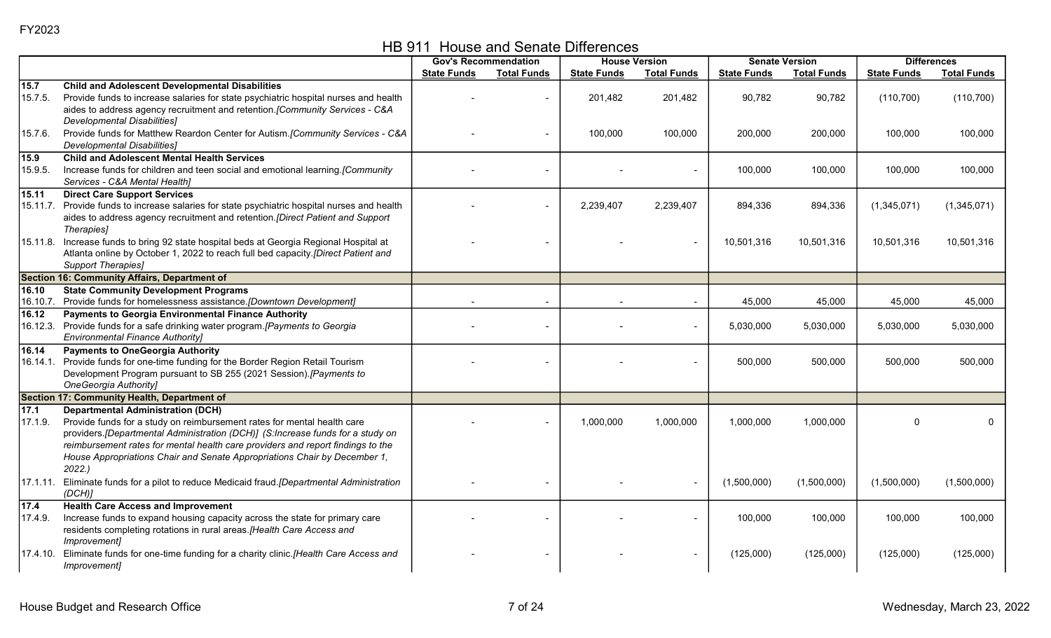HB 911 House and Senate Differences

|                 |                                                                                                                                     |                    | <b>Gov's Recommendation</b> |                    | <b>House Version</b> |                    | <b>Senate Version</b> |                    | <b>Differences</b> |
|-----------------|-------------------------------------------------------------------------------------------------------------------------------------|--------------------|-----------------------------|--------------------|----------------------|--------------------|-----------------------|--------------------|--------------------|
|                 |                                                                                                                                     | <b>State Funds</b> | <b>Total Funds</b>          | <b>State Funds</b> | <b>Total Funds</b>   | <b>State Funds</b> | <b>Total Funds</b>    | <b>State Funds</b> | <b>Total Funds</b> |
| 15.7            | <b>Child and Adolescent Developmental Disabilities</b>                                                                              |                    |                             |                    |                      |                    |                       |                    |                    |
| 15.7.5.         | Provide funds to increase salaries for state psychiatric hospital nurses and health                                                 |                    |                             | 201,482            | 201,482              | 90,782             | 90,782                | (110, 700)         | (110, 700)         |
|                 | aides to address agency recruitment and retention. [Community Services - C&A                                                        |                    |                             |                    |                      |                    |                       |                    |                    |
|                 | <b>Developmental Disabilities]</b>                                                                                                  |                    |                             |                    |                      |                    |                       |                    |                    |
| 15.7.6.         | Provide funds for Matthew Reardon Center for Autism.[Community Services - C&A                                                       |                    | $\blacksquare$              | 100,000            | 100,000              | 200,000            | 200,000               | 100,000            | 100,000            |
|                 | <b>Developmental Disabilities]</b>                                                                                                  |                    |                             |                    |                      |                    |                       |                    |                    |
| 15.9<br>15.9.5. | <b>Child and Adolescent Mental Health Services</b><br>Increase funds for children and teen social and emotional learning.[Community |                    |                             |                    |                      | 100,000            | 100,000               | 100,000            | 100,000            |
|                 | Services - C&A Mental Health]                                                                                                       |                    |                             |                    |                      |                    |                       |                    |                    |
| 15.11           | <b>Direct Care Support Services</b>                                                                                                 |                    |                             |                    |                      |                    |                       |                    |                    |
|                 | 15.11.7. Provide funds to increase salaries for state psychiatric hospital nurses and health                                        |                    |                             | 2,239,407          | 2,239,407            | 894,336            | 894,336               | (1,345,071)        | (1,345,071)        |
|                 | aides to address agency recruitment and retention. [Direct Patient and Support<br>Therapies]                                        |                    |                             |                    |                      |                    |                       |                    |                    |
|                 | 15.11.8. Increase funds to bring 92 state hospital beds at Georgia Regional Hospital at                                             |                    |                             |                    |                      | 10,501,316         | 10,501,316            | 10,501,316         | 10,501,316         |
|                 | Atlanta online by October 1, 2022 to reach full bed capacity.[Direct Patient and                                                    |                    |                             |                    |                      |                    |                       |                    |                    |
|                 | <b>Support Therapies]</b>                                                                                                           |                    |                             |                    |                      |                    |                       |                    |                    |
|                 | Section 16: Community Affairs, Department of                                                                                        |                    |                             |                    |                      |                    |                       |                    |                    |
| 16.10           | <b>State Community Development Programs</b>                                                                                         |                    |                             |                    |                      |                    |                       |                    |                    |
|                 | 16.10.7. Provide funds for homelessness assistance.[Downtown Development]                                                           |                    |                             |                    |                      | 45,000             | 45,000                | 45,000             | 45,000             |
| 16.12           | <b>Payments to Georgia Environmental Finance Authority</b>                                                                          |                    |                             |                    |                      |                    |                       |                    |                    |
|                 | 16.12.3. Provide funds for a safe drinking water program.[Payments to Georgia                                                       |                    |                             |                    |                      | 5,030,000          | 5,030,000             | 5,030,000          | 5,030,000          |
| 16.14           | <b>Environmental Finance Authority]</b>                                                                                             |                    |                             |                    |                      |                    |                       |                    |                    |
|                 | <b>Payments to OneGeorgia Authority</b><br>16.14.1. Provide funds for one-time funding for the Border Region Retail Tourism         |                    |                             |                    |                      | 500,000            | 500,000               | 500,000            | 500,000            |
|                 | Development Program pursuant to SB 255 (2021 Session).[Payments to                                                                  |                    |                             |                    |                      |                    |                       |                    |                    |
|                 | OneGeorgia Authority]                                                                                                               |                    |                             |                    |                      |                    |                       |                    |                    |
|                 | Section 17: Community Health, Department of                                                                                         |                    |                             |                    |                      |                    |                       |                    |                    |
| 17.1            | <b>Departmental Administration (DCH)</b>                                                                                            |                    |                             |                    |                      |                    |                       |                    |                    |
| 17.1.9.         | Provide funds for a study on reimbursement rates for mental health care                                                             |                    |                             | 1,000,000          | 1,000,000            | 1,000,000          | 1,000,000             | $\Omega$           | $\Omega$           |
|                 | providers. [Departmental Administration (DCH)] (S:Increase funds for a study on                                                     |                    |                             |                    |                      |                    |                       |                    |                    |
|                 | reimbursement rates for mental health care providers and report findings to the                                                     |                    |                             |                    |                      |                    |                       |                    |                    |
|                 | House Appropriations Chair and Senate Appropriations Chair by December 1,<br>2022.                                                  |                    |                             |                    |                      |                    |                       |                    |                    |
|                 | 17.1.11. Eliminate funds for a pilot to reduce Medicaid fraud. [Departmental Administration                                         |                    |                             |                    | $\blacksquare$       | (1,500,000)        | (1,500,000)           | (1,500,000)        | (1,500,000)        |
|                 | (DCH)                                                                                                                               |                    |                             |                    |                      |                    |                       |                    |                    |
| $17.4$          | <b>Health Care Access and Improvement</b>                                                                                           |                    |                             |                    |                      |                    |                       |                    |                    |
| 17.4.9.         | Increase funds to expand housing capacity across the state for primary care                                                         |                    |                             |                    |                      | 100,000            | 100,000               | 100,000            | 100,000            |
|                 | residents completing rotations in rural areas. [Health Care Access and                                                              |                    |                             |                    |                      |                    |                       |                    |                    |
|                 | Improvement]                                                                                                                        |                    |                             |                    |                      |                    |                       |                    |                    |
|                 | 17.4.10. Eliminate funds for one-time funding for a charity clinic.[Health Care Access and                                          |                    |                             |                    |                      | (125,000)          | (125,000)             | (125,000)          | (125,000)          |
|                 | Improvement]                                                                                                                        |                    |                             |                    |                      |                    |                       |                    |                    |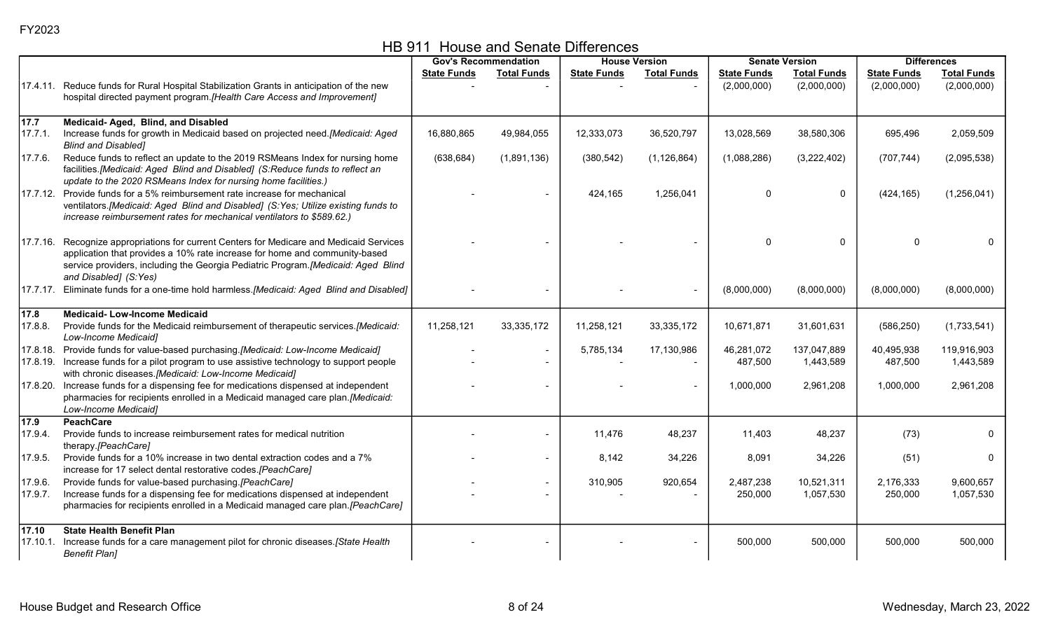|               |                                                                                                                                                                                                                                                                            |                    | <b>Gov's Recommendation</b> |                    | <b>House Version</b> |                    | <b>Senate Version</b> |                    | <b>Differences</b> |
|---------------|----------------------------------------------------------------------------------------------------------------------------------------------------------------------------------------------------------------------------------------------------------------------------|--------------------|-----------------------------|--------------------|----------------------|--------------------|-----------------------|--------------------|--------------------|
|               |                                                                                                                                                                                                                                                                            | <b>State Funds</b> | <b>Total Funds</b>          | <b>State Funds</b> | <b>Total Funds</b>   | <b>State Funds</b> | <b>Total Funds</b>    | <b>State Funds</b> | <b>Total Funds</b> |
|               | 17.4.11. Reduce funds for Rural Hospital Stabilization Grants in anticipation of the new                                                                                                                                                                                   |                    |                             |                    |                      | (2,000,000)        | (2,000,000)           | (2,000,000)        | (2,000,000)        |
|               | hospital directed payment program. [Health Care Access and Improvement]                                                                                                                                                                                                    |                    |                             |                    |                      |                    |                       |                    |                    |
| 17.7          | Medicaid- Aged, Blind, and Disabled                                                                                                                                                                                                                                        |                    |                             |                    |                      |                    |                       |                    |                    |
| 17.7.1.       | Increase funds for growth in Medicaid based on projected need.[Medicaid: Aged<br><b>Blind and Disabled]</b>                                                                                                                                                                | 16,880,865         | 49,984,055                  | 12,333,073         | 36,520,797           | 13,028,569         | 38,580,306            | 695,496            | 2,059,509          |
| 17.7.6.       | Reduce funds to reflect an update to the 2019 RSMeans Index for nursing home<br>facilities.[Medicaid: Aged Blind and Disabled] (S:Reduce funds to reflect an<br>update to the 2020 RSMeans Index for nursing home facilities.)                                             | (638, 684)         | (1,891,136)                 | (380, 542)         | (1, 126, 864)        | (1,088,286)        | (3,222,402)           | (707, 744)         | (2,095,538)        |
|               | 17.7.12. Provide funds for a 5% reimbursement rate increase for mechanical<br>ventilators.[Medicaid: Aged Blind and Disabled] (S:Yes; Utilize existing funds to<br>increase reimbursement rates for mechanical ventilators to \$589.62.)                                   |                    |                             | 424,165            | 1,256,041            | 0                  | $\mathbf{0}$          | (424, 165)         | (1,256,041)        |
| 17.7.16.      | Recognize appropriations for current Centers for Medicare and Medicaid Services<br>application that provides a 10% rate increase for home and community-based<br>service providers, including the Georgia Pediatric Program.[Medicaid: Aged Blind<br>and Disabled] (S:Yes) |                    |                             |                    |                      | 0                  | $\Omega$              |                    |                    |
|               | 17.7.17. Eliminate funds for a one-time hold harmless. [Medicaid: Aged Blind and Disabled]                                                                                                                                                                                 |                    |                             |                    |                      | (8,000,000)        | (8,000,000)           | (8,000,000)        | (8,000,000)        |
| $\sqrt{17.8}$ | <b>Medicaid-Low-Income Medicaid</b>                                                                                                                                                                                                                                        |                    |                             |                    |                      |                    |                       |                    |                    |
| 17.8.8.       | Provide funds for the Medicaid reimbursement of therapeutic services.[Medicaid:<br>Low-Income Medicaid]                                                                                                                                                                    | 11,258,121         | 33,335,172                  | 11,258,121         | 33, 335, 172         | 10,671,871         | 31,601,631            | (586, 250)         | (1,733,541)        |
|               | 17.8.18. Provide funds for value-based purchasing.[Medicaid: Low-Income Medicaid]                                                                                                                                                                                          |                    |                             | 5,785,134          | 17,130,986           | 46,281,072         | 137,047,889           | 40,495,938         | 119,916,903        |
|               | 17.8.19. Increase funds for a pilot program to use assistive technology to support people<br>with chronic diseases.[Medicaid: Low-Income Medicaid]                                                                                                                         |                    | $\blacksquare$              |                    |                      | 487,500            | 1,443,589             | 487,500            | 1,443,589          |
|               | 17.8.20. Increase funds for a dispensing fee for medications dispensed at independent<br>pharmacies for recipients enrolled in a Medicaid managed care plan. [Medicaid:<br>Low-Income Medicaid]                                                                            |                    |                             |                    |                      | 1,000,000          | 2,961,208             | 1,000,000          | 2,961,208          |
| 17.9          | <b>PeachCare</b>                                                                                                                                                                                                                                                           |                    |                             |                    |                      |                    |                       |                    |                    |
| 17.9.4.       | Provide funds to increase reimbursement rates for medical nutrition<br>therapy.[PeachCare]                                                                                                                                                                                 |                    |                             | 11,476             | 48,237               | 11,403             | 48,237                | (73)               |                    |
| 17.9.5.       | Provide funds for a 10% increase in two dental extraction codes and a 7%<br>increase for 17 select dental restorative codes.[PeachCare]                                                                                                                                    |                    | $\blacksquare$              | 8,142              | 34,226               | 8,091              | 34,226                | (51)               | $\mathbf{0}$       |
| 17.9.6.       | Provide funds for value-based purchasing.[PeachCare]                                                                                                                                                                                                                       |                    | $\overline{\phantom{0}}$    | 310,905            | 920,654              | 2,487,238          | 10,521,311            | 2,176,333          | 9,600,657          |
| 17.9.7.       | Increase funds for a dispensing fee for medications dispensed at independent<br>pharmacies for recipients enrolled in a Medicaid managed care plan.[PeachCare]                                                                                                             |                    |                             |                    |                      | 250,000            | 1,057,530             | 250,000            | 1,057,530          |
| 17.10         | <b>State Health Benefit Plan</b>                                                                                                                                                                                                                                           |                    |                             |                    |                      |                    |                       |                    |                    |
|               | 17.10.1. Increase funds for a care management pilot for chronic diseases.[State Health<br><b>Benefit Plan]</b>                                                                                                                                                             |                    |                             |                    |                      | 500,000            | 500,000               | 500,000            | 500,000            |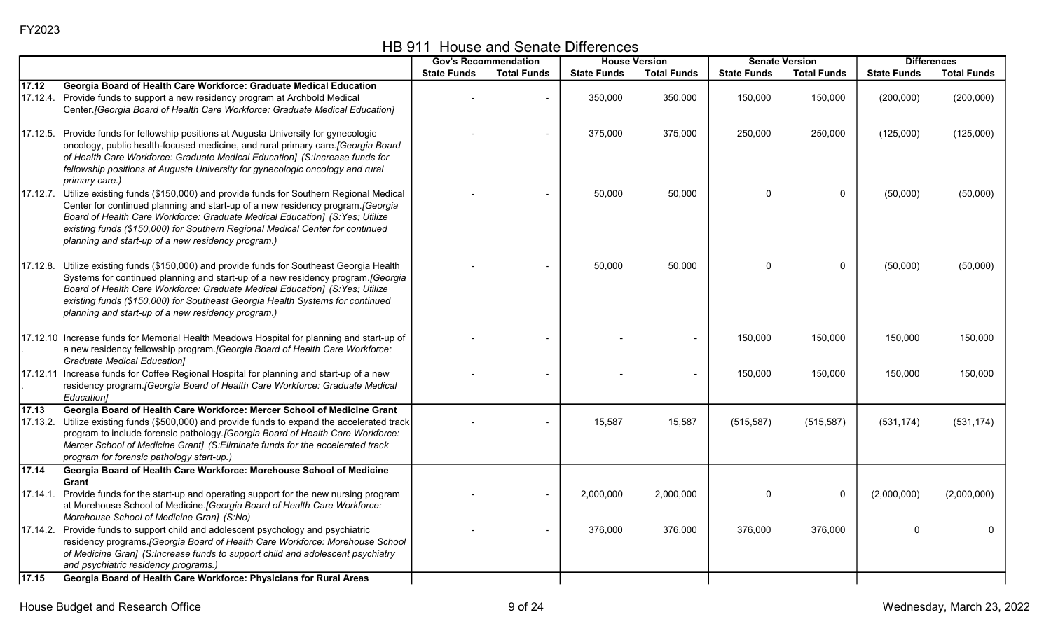|  | HB 911 House and Senate Differences |
|--|-------------------------------------|
|--|-------------------------------------|

|       |                                                                                                                                                                 |                    | <b>Gov's Recommendation</b> |                    | <b>House Version</b> | <b>Senate Version</b> |                    |                    | <b>Differences</b> |
|-------|-----------------------------------------------------------------------------------------------------------------------------------------------------------------|--------------------|-----------------------------|--------------------|----------------------|-----------------------|--------------------|--------------------|--------------------|
|       |                                                                                                                                                                 | <b>State Funds</b> | <b>Total Funds</b>          | <b>State Funds</b> | <b>Total Funds</b>   | <b>State Funds</b>    | <b>Total Funds</b> | <b>State Funds</b> | <b>Total Funds</b> |
| 17.12 | Georgia Board of Health Care Workforce: Graduate Medical Education                                                                                              |                    |                             |                    |                      |                       |                    |                    |                    |
|       | 17.12.4. Provide funds to support a new residency program at Archbold Medical                                                                                   |                    |                             | 350,000            | 350,000              | 150,000               | 150,000            | (200,000)          | (200,000)          |
|       | Center. [Georgia Board of Health Care Workforce: Graduate Medical Education]                                                                                    |                    |                             |                    |                      |                       |                    |                    |                    |
|       |                                                                                                                                                                 |                    |                             |                    |                      |                       |                    |                    |                    |
|       | 17.12.5. Provide funds for fellowship positions at Augusta University for gynecologic                                                                           |                    |                             | 375,000            | 375,000              | 250,000               | 250,000            | (125,000)          | (125,000)          |
|       | oncology, public health-focused medicine, and rural primary care.[Georgia Board                                                                                 |                    |                             |                    |                      |                       |                    |                    |                    |
|       | of Health Care Workforce: Graduate Medical Education] (S:Increase funds for                                                                                     |                    |                             |                    |                      |                       |                    |                    |                    |
|       | fellowship positions at Augusta University for gynecologic oncology and rural                                                                                   |                    |                             |                    |                      |                       |                    |                    |                    |
|       | primary care.)                                                                                                                                                  |                    |                             |                    |                      |                       |                    |                    |                    |
|       | 17.12.7. Utilize existing funds (\$150,000) and provide funds for Southern Regional Medical                                                                     |                    |                             | 50,000             | 50,000               | $\Omega$              | $\mathbf 0$        | (50,000)           | (50,000)           |
|       | Center for continued planning and start-up of a new residency program. [Georgia<br>Board of Health Care Workforce: Graduate Medical Education] (S: Yes; Utilize |                    |                             |                    |                      |                       |                    |                    |                    |
|       | existing funds (\$150,000) for Southern Regional Medical Center for continued                                                                                   |                    |                             |                    |                      |                       |                    |                    |                    |
|       | planning and start-up of a new residency program.)                                                                                                              |                    |                             |                    |                      |                       |                    |                    |                    |
|       |                                                                                                                                                                 |                    |                             |                    |                      |                       |                    |                    |                    |
|       | 17.12.8. Utilize existing funds (\$150,000) and provide funds for Southeast Georgia Health                                                                      |                    |                             | 50,000             | 50,000               | 0                     | $\mathbf 0$        | (50,000)           | (50,000)           |
|       | Systems for continued planning and start-up of a new residency program. [Georgia                                                                                |                    |                             |                    |                      |                       |                    |                    |                    |
|       | Board of Health Care Workforce: Graduate Medical Education] (S:Yes; Utilize                                                                                     |                    |                             |                    |                      |                       |                    |                    |                    |
|       | existing funds (\$150,000) for Southeast Georgia Health Systems for continued                                                                                   |                    |                             |                    |                      |                       |                    |                    |                    |
|       | planning and start-up of a new residency program.)                                                                                                              |                    |                             |                    |                      |                       |                    |                    |                    |
|       |                                                                                                                                                                 |                    |                             |                    |                      |                       |                    |                    |                    |
|       | 17.12.10 Increase funds for Memorial Health Meadows Hospital for planning and start-up of                                                                       |                    |                             |                    |                      | 150,000               | 150,000            | 150,000            | 150,000            |
|       | a new residency fellowship program. [Georgia Board of Health Care Workforce:                                                                                    |                    |                             |                    |                      |                       |                    |                    |                    |
|       | <b>Graduate Medical Education]</b>                                                                                                                              |                    |                             |                    |                      |                       |                    |                    |                    |
|       | 17.12.11 Increase funds for Coffee Regional Hospital for planning and start-up of a new                                                                         |                    |                             |                    |                      | 150,000               | 150,000            | 150,000            | 150,000            |
|       | residency program. [Georgia Board of Health Care Workforce: Graduate Medical<br>Education1                                                                      |                    |                             |                    |                      |                       |                    |                    |                    |
| 17.13 | Georgia Board of Health Care Workforce: Mercer School of Medicine Grant                                                                                         |                    |                             |                    |                      |                       |                    |                    |                    |
|       | 17.13.2. Utilize existing funds (\$500,000) and provide funds to expand the accelerated track                                                                   |                    |                             | 15,587             | 15,587               | (515, 587)            | (515, 587)         | (531, 174)         | (531, 174)         |
|       | program to include forensic pathology. [Georgia Board of Health Care Workforce:                                                                                 |                    |                             |                    |                      |                       |                    |                    |                    |
|       | Mercer School of Medicine Grant] (S:Eliminate funds for the accelerated track                                                                                   |                    |                             |                    |                      |                       |                    |                    |                    |
|       | program for forensic pathology start-up.)                                                                                                                       |                    |                             |                    |                      |                       |                    |                    |                    |
| 17.14 | Georgia Board of Health Care Workforce: Morehouse School of Medicine                                                                                            |                    |                             |                    |                      |                       |                    |                    |                    |
|       | Grant                                                                                                                                                           |                    |                             |                    |                      |                       |                    |                    |                    |
|       | 17.14.1. Provide funds for the start-up and operating support for the new nursing program                                                                       |                    |                             | 2,000,000          | 2,000,000            | 0                     | $\pmb{0}$          | (2,000,000)        | (2,000,000)        |
|       | at Morehouse School of Medicine. [Georgia Board of Health Care Workforce:                                                                                       |                    |                             |                    |                      |                       |                    |                    |                    |
|       | Morehouse School of Medicine Gran] (S:No)                                                                                                                       |                    |                             |                    |                      |                       |                    |                    |                    |
|       | 17.14.2. Provide funds to support child and adolescent psychology and psychiatric                                                                               |                    |                             | 376,000            | 376,000              | 376,000               | 376,000            | $\mathbf 0$        | $\Omega$           |
|       | residency programs. [Georgia Board of Health Care Workforce: Morehouse School                                                                                   |                    |                             |                    |                      |                       |                    |                    |                    |
|       | of Medicine Gran] (S:Increase funds to support child and adolescent psychiatry<br>and psychiatric residency programs.)                                          |                    |                             |                    |                      |                       |                    |                    |                    |
| 17.15 | Georgia Board of Health Care Workforce: Physicians for Rural Areas                                                                                              |                    |                             |                    |                      |                       |                    |                    |                    |
|       |                                                                                                                                                                 |                    |                             |                    |                      |                       |                    |                    |                    |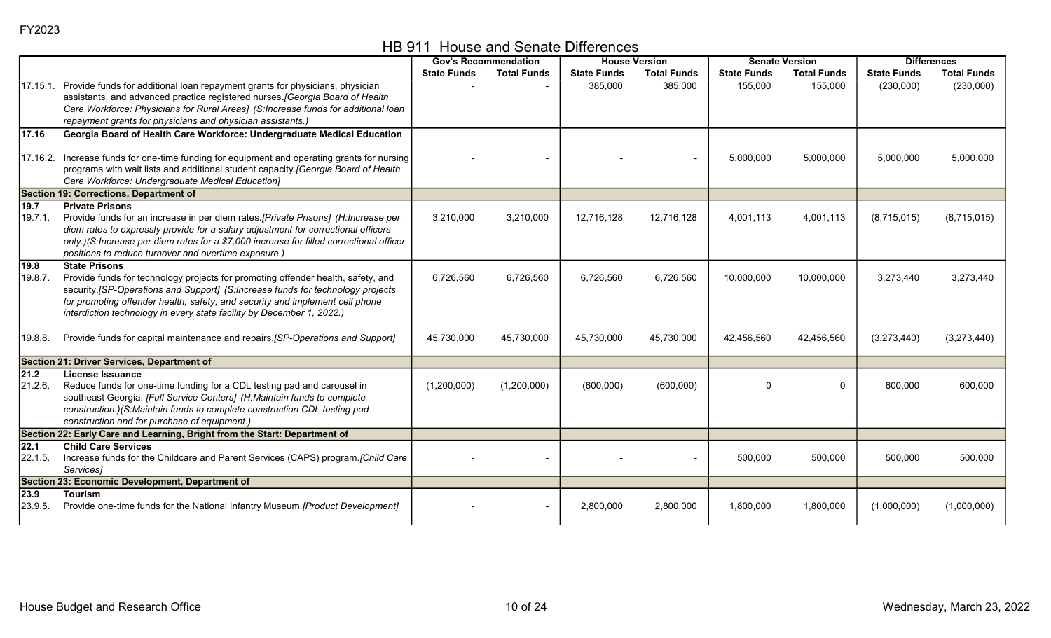HB 911 House and Senate Differences

|                   |                                                                                                                                                                    |                    | <b>Gov's Recommendation</b> | <b>House Version</b> |                    | <b>Senate Version</b> |                    | <b>Differences</b> |                    |
|-------------------|--------------------------------------------------------------------------------------------------------------------------------------------------------------------|--------------------|-----------------------------|----------------------|--------------------|-----------------------|--------------------|--------------------|--------------------|
|                   |                                                                                                                                                                    | <b>State Funds</b> | <b>Total Funds</b>          | <b>State Funds</b>   | <b>Total Funds</b> | <b>State Funds</b>    | <b>Total Funds</b> | <b>State Funds</b> | <b>Total Funds</b> |
| 17.15.1.          | Provide funds for additional loan repayment grants for physicians, physician                                                                                       |                    |                             | 385,000              | 385,000            | 155,000               | 155,000            | (230,000)          | (230,000)          |
|                   | assistants, and advanced practice registered nurses. [Georgia Board of Health                                                                                      |                    |                             |                      |                    |                       |                    |                    |                    |
|                   | Care Workforce: Physicians for Rural Areas] (S:Increase funds for additional loan                                                                                  |                    |                             |                      |                    |                       |                    |                    |                    |
|                   | repayment grants for physicians and physician assistants.)                                                                                                         |                    |                             |                      |                    |                       |                    |                    |                    |
| 17.16             | Georgia Board of Health Care Workforce: Undergraduate Medical Education                                                                                            |                    |                             |                      |                    |                       |                    |                    |                    |
| 17.16.2.          | Increase funds for one-time funding for equipment and operating grants for nursing                                                                                 |                    |                             |                      |                    | 5,000,000             | 5,000,000          | 5,000,000          | 5,000,000          |
|                   | programs with wait lists and additional student capacity.[Georgia Board of Health                                                                                  |                    |                             |                      |                    |                       |                    |                    |                    |
|                   | Care Workforce: Undergraduate Medical Education]                                                                                                                   |                    |                             |                      |                    |                       |                    |                    |                    |
|                   | <b>Section 19: Corrections, Department of</b>                                                                                                                      |                    |                             |                      |                    |                       |                    |                    |                    |
| $\overline{19.7}$ | <b>Private Prisons</b>                                                                                                                                             |                    |                             |                      |                    |                       |                    |                    |                    |
| 19.7.1.           | Provide funds for an increase in per diem rates.[Private Prisons] (H:Increase per                                                                                  | 3,210,000          | 3,210,000                   | 12,716,128           | 12,716,128         | 4,001,113             | 4,001,113          | (8,715,015)        | (8,715,015)        |
|                   | diem rates to expressly provide for a salary adjustment for correctional officers                                                                                  |                    |                             |                      |                    |                       |                    |                    |                    |
|                   | only.)(S:Increase per diem rates for a \$7,000 increase for filled correctional officer                                                                            |                    |                             |                      |                    |                       |                    |                    |                    |
|                   | positions to reduce turnover and overtime exposure.)                                                                                                               |                    |                             |                      |                    |                       |                    |                    |                    |
| 19.8              | <b>State Prisons</b>                                                                                                                                               |                    |                             |                      |                    |                       |                    |                    |                    |
| 19.8.7.           | Provide funds for technology projects for promoting offender health, safety, and<br>security.[SP-Operations and Support] (S:Increase funds for technology projects | 6,726,560          | 6,726,560                   | 6,726,560            | 6,726,560          | 10,000,000            | 10,000,000         | 3,273,440          | 3,273,440          |
|                   | for promoting offender health, safety, and security and implement cell phone                                                                                       |                    |                             |                      |                    |                       |                    |                    |                    |
|                   | interdiction technology in every state facility by December 1, 2022.)                                                                                              |                    |                             |                      |                    |                       |                    |                    |                    |
|                   |                                                                                                                                                                    |                    |                             |                      |                    |                       |                    |                    |                    |
| 19.8.8.           | Provide funds for capital maintenance and repairs. [SP-Operations and Support]                                                                                     | 45,730,000         | 45,730,000                  | 45,730,000           | 45,730,000         | 42,456,560            | 42,456,560         | (3,273,440)        | (3,273,440)        |
|                   |                                                                                                                                                                    |                    |                             |                      |                    |                       |                    |                    |                    |
|                   | <b>Section 21: Driver Services, Department of</b>                                                                                                                  |                    |                             |                      |                    |                       |                    |                    |                    |
| $21.2$            | License Issuance                                                                                                                                                   |                    |                             |                      |                    |                       |                    |                    |                    |
| 21.2.6.           | Reduce funds for one-time funding for a CDL testing pad and carousel in                                                                                            | (1,200,000)        | (1,200,000)                 | (600,000)            | (600,000)          | $\Omega$              | $\mathbf{0}$       | 600,000            | 600,000            |
|                   | southeast Georgia. [Full Service Centers] (H:Maintain funds to complete                                                                                            |                    |                             |                      |                    |                       |                    |                    |                    |
|                   | construction.)(S:Maintain funds to complete construction CDL testing pad<br>construction and for purchase of equipment.)                                           |                    |                             |                      |                    |                       |                    |                    |                    |
|                   | Section 22: Early Care and Learning, Bright from the Start: Department of                                                                                          |                    |                             |                      |                    |                       |                    |                    |                    |
| 22.1              | <b>Child Care Services</b>                                                                                                                                         |                    |                             |                      |                    |                       |                    |                    |                    |
| 22.1.5.           | Increase funds for the Childcare and Parent Services (CAPS) program. [Child Care                                                                                   |                    |                             |                      |                    | 500,000               | 500,000            | 500,000            | 500,000            |
|                   | Services]                                                                                                                                                          |                    |                             |                      |                    |                       |                    |                    |                    |
|                   | Section 23: Economic Development, Department of                                                                                                                    |                    |                             |                      |                    |                       |                    |                    |                    |
| 23.9              | <b>Tourism</b>                                                                                                                                                     |                    |                             |                      |                    |                       |                    |                    |                    |
| 23.9.5.           | Provide one-time funds for the National Infantry Museum.[Product Development]                                                                                      |                    |                             | 2,800,000            | 2,800,000          | 1,800,000             | 1,800,000          | (1,000,000)        | (1,000,000)        |
|                   |                                                                                                                                                                    |                    |                             |                      |                    |                       |                    |                    |                    |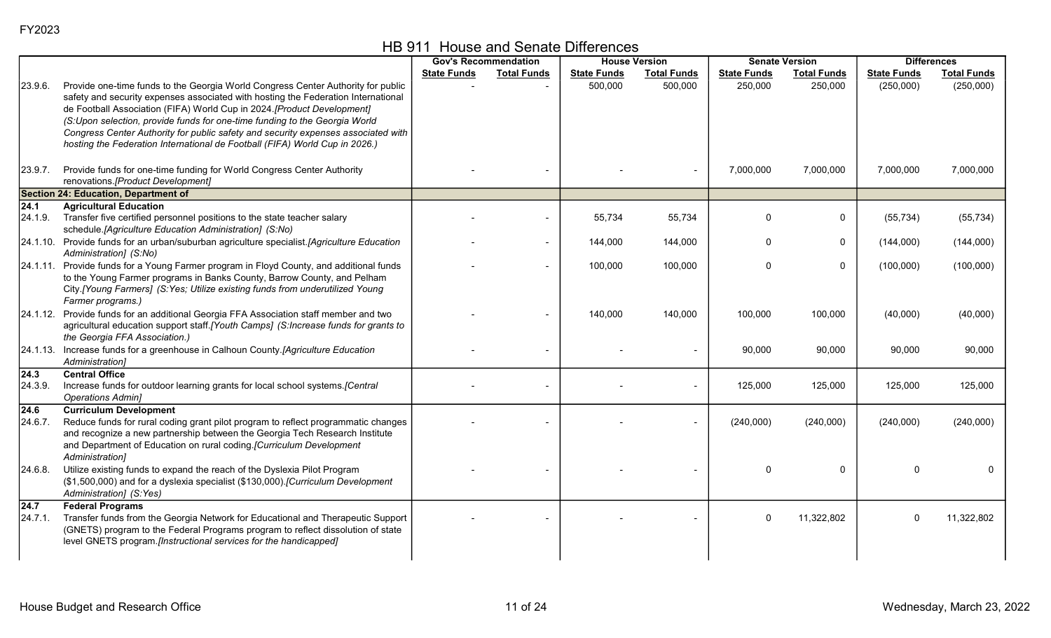|  | HB 911 House and Senate Differences |
|--|-------------------------------------|
|--|-------------------------------------|

|                  | <b>Gov's Recommendation</b><br><b>House Version</b>                                                                                                                                                                                                                                                                                                                                                                                                                                               |                    | <b>Senate Version</b> | <b>Differences</b> |                    |                    |                    |                    |                    |
|------------------|---------------------------------------------------------------------------------------------------------------------------------------------------------------------------------------------------------------------------------------------------------------------------------------------------------------------------------------------------------------------------------------------------------------------------------------------------------------------------------------------------|--------------------|-----------------------|--------------------|--------------------|--------------------|--------------------|--------------------|--------------------|
|                  |                                                                                                                                                                                                                                                                                                                                                                                                                                                                                                   | <b>State Funds</b> | <b>Total Funds</b>    | <b>State Funds</b> | <b>Total Funds</b> | <b>State Funds</b> | <b>Total Funds</b> | <b>State Funds</b> | <b>Total Funds</b> |
| 23.9.6.          | Provide one-time funds to the Georgia World Congress Center Authority for public<br>safety and security expenses associated with hosting the Federation International<br>de Football Association (FIFA) World Cup in 2024.[Product Development]<br>(S:Upon selection, provide funds for one-time funding to the Georgia World<br>Congress Center Authority for public safety and security expenses associated with<br>hosting the Federation International de Football (FIFA) World Cup in 2026.) |                    |                       | 500,000            | 500,000            | 250,000            | 250,000            | (250,000)          | (250,000)          |
| 23.9.7.          | Provide funds for one-time funding for World Congress Center Authority<br>renovations.[Product Development]                                                                                                                                                                                                                                                                                                                                                                                       |                    |                       |                    |                    | 7,000,000          | 7,000,000          | 7,000,000          | 7,000,000          |
|                  | Section 24: Education, Department of                                                                                                                                                                                                                                                                                                                                                                                                                                                              |                    |                       |                    |                    |                    |                    |                    |                    |
| 24.1             | <b>Agricultural Education</b>                                                                                                                                                                                                                                                                                                                                                                                                                                                                     |                    |                       |                    |                    |                    |                    |                    |                    |
| 24.1.9.          | Transfer five certified personnel positions to the state teacher salary<br>schedule.[Agriculture Education Administration] (S:No)                                                                                                                                                                                                                                                                                                                                                                 |                    |                       | 55,734             | 55,734             | 0                  | $\mathbf 0$        | (55, 734)          | (55, 734)          |
|                  | 24.1.10. Provide funds for an urban/suburban agriculture specialist.[Agriculture Education<br>Administration] (S:No)                                                                                                                                                                                                                                                                                                                                                                              |                    | $\blacksquare$        | 144,000            | 144,000            | $\Omega$           | $\Omega$           | (144,000)          | (144,000)          |
|                  | 24.1.11. Provide funds for a Young Farmer program in Floyd County, and additional funds<br>to the Young Farmer programs in Banks County, Barrow County, and Pelham<br>City.[Young Farmers] (S:Yes; Utilize existing funds from underutilized Young<br>Farmer programs.)                                                                                                                                                                                                                           |                    |                       | 100,000            | 100,000            | $\Omega$           | $\Omega$           | (100,000)          | (100,000)          |
|                  | 24.1.12. Provide funds for an additional Georgia FFA Association staff member and two<br>agricultural education support staff. [Youth Camps] (S:Increase funds for grants to<br>the Georgia FFA Association.)                                                                                                                                                                                                                                                                                     |                    |                       | 140,000            | 140,000            | 100,000            | 100,000            | (40,000)           | (40,000)           |
|                  | 24.1.13. Increase funds for a greenhouse in Calhoun County.[Agriculture Education<br>Administration]                                                                                                                                                                                                                                                                                                                                                                                              |                    |                       |                    |                    | 90,000             | 90,000             | 90,000             | 90,000             |
| 24.3 <br>24.3.9. | <b>Central Office</b><br>Increase funds for outdoor learning grants for local school systems. [Central<br><b>Operations Admin]</b>                                                                                                                                                                                                                                                                                                                                                                |                    |                       |                    |                    | 125,000            | 125,000            | 125,000            | 125,000            |
| 24.6<br>24.6.7.  | <b>Curriculum Development</b><br>Reduce funds for rural coding grant pilot program to reflect programmatic changes<br>and recognize a new partnership between the Georgia Tech Research Institute<br>and Department of Education on rural coding.[Curriculum Development<br>Administration]                                                                                                                                                                                                       |                    |                       |                    |                    | (240,000)          | (240,000)          | (240,000)          | (240,000)          |
| 24.6.8.          | Utilize existing funds to expand the reach of the Dyslexia Pilot Program<br>(\$1,500,000) and for a dyslexia specialist (\$130,000). [Curriculum Development<br>Administration] (S:Yes)                                                                                                                                                                                                                                                                                                           |                    |                       |                    |                    | $\Omega$           | $\mathbf 0$        | $\Omega$           | 0                  |
| 24.7<br>24.7.1.  | <b>Federal Programs</b><br>Transfer funds from the Georgia Network for Educational and Therapeutic Support<br>(GNETS) program to the Federal Programs program to reflect dissolution of state<br>level GNETS program.[Instructional services for the handicapped]                                                                                                                                                                                                                                 |                    |                       |                    |                    | $\Omega$           | 11,322,802         | 0                  | 11,322,802         |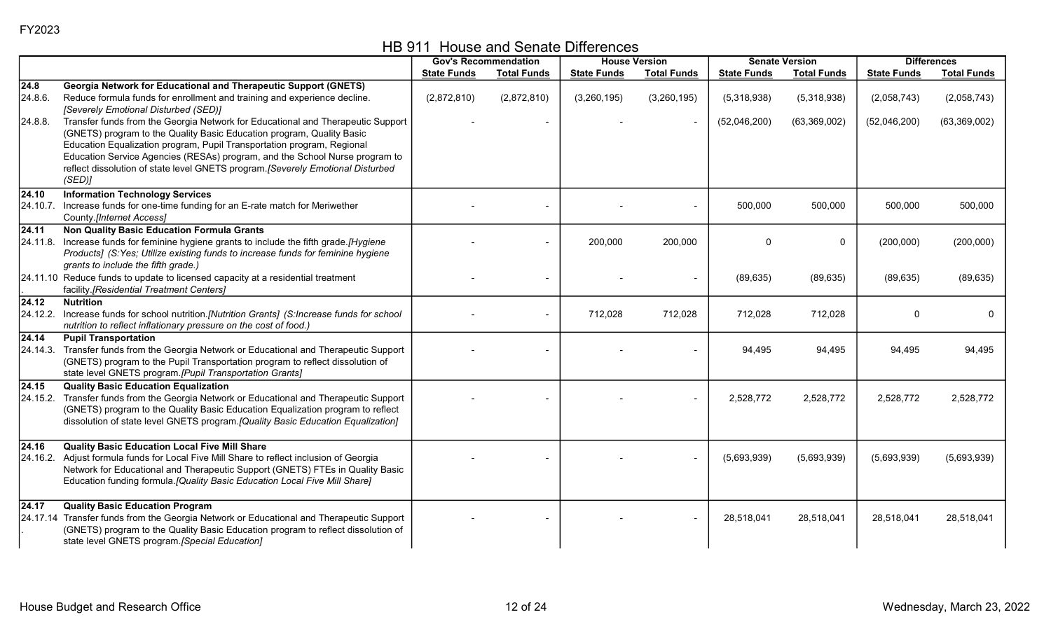HB 911 House and Senate Differences

|                              |                                                                                                                                                                                                                                                                                                                                                                                                               |                    | <b>Gov's Recommendation</b> |                    | <b>House Version</b> | <b>Senate Version</b> |                    | <b>Differences</b> |                    |
|------------------------------|---------------------------------------------------------------------------------------------------------------------------------------------------------------------------------------------------------------------------------------------------------------------------------------------------------------------------------------------------------------------------------------------------------------|--------------------|-----------------------------|--------------------|----------------------|-----------------------|--------------------|--------------------|--------------------|
|                              |                                                                                                                                                                                                                                                                                                                                                                                                               | <b>State Funds</b> | <b>Total Funds</b>          | <b>State Funds</b> | <b>Total Funds</b>   | <b>State Funds</b>    | <b>Total Funds</b> | <b>State Funds</b> | <b>Total Funds</b> |
| $\overline{24.8}$<br>24.8.6. | Georgia Network for Educational and Therapeutic Support (GNETS)<br>Reduce formula funds for enrollment and training and experience decline.<br>[Severely Emotional Disturbed (SED)]                                                                                                                                                                                                                           | (2,872,810)        | (2,872,810)                 | (3,260,195)        | (3,260,195)          | (5,318,938)           | (5,318,938)        | (2,058,743)        | (2,058,743)        |
| 24.8.8.                      | Transfer funds from the Georgia Network for Educational and Therapeutic Support<br>(GNETS) program to the Quality Basic Education program, Quality Basic<br>Education Equalization program, Pupil Transportation program, Regional<br>Education Service Agencies (RESAs) program, and the School Nurse program to<br>reflect dissolution of state level GNETS program. [Severely Emotional Disturbed<br>(SED) |                    |                             |                    |                      | (52,046,200)          | (63,369,002)       | (52,046,200)       | (63,369,002)       |
| 24.10                        | <b>Information Technology Services</b><br>24.10.7. Increase funds for one-time funding for an E-rate match for Meriwether<br>County.[Internet Access]                                                                                                                                                                                                                                                         |                    |                             |                    |                      | 500,000               | 500,000            | 500,000            | 500,000            |
| $\sqrt{24.11}$               | <b>Non Quality Basic Education Formula Grants</b><br>24.11.8. Increase funds for feminine hygiene grants to include the fifth grade.[Hygiene<br>Products] (S:Yes; Utilize existing funds to increase funds for feminine hygiene<br>grants to include the fifth grade.)                                                                                                                                        |                    |                             | 200,000            | 200,000              | $\Omega$              | 0                  | (200,000)          | (200,000)          |
|                              | 24.11.10 Reduce funds to update to licensed capacity at a residential treatment<br>facility.[Residential Treatment Centers]                                                                                                                                                                                                                                                                                   |                    |                             |                    |                      | (89, 635)             | (89, 635)          | (89, 635)          | (89, 635)          |
| 24.12                        | <b>Nutrition</b><br>24.12.2. Increase funds for school nutrition.[Nutrition Grants] (S:Increase funds for school<br>nutrition to reflect inflationary pressure on the cost of food.)                                                                                                                                                                                                                          |                    |                             | 712,028            | 712,028              | 712,028               | 712,028            | 0                  |                    |
| $\sqrt{24.14}$               | <b>Pupil Transportation</b><br>24.14.3. Transfer funds from the Georgia Network or Educational and Therapeutic Support<br>(GNETS) program to the Pupil Transportation program to reflect dissolution of<br>state level GNETS program.[Pupil Transportation Grants]                                                                                                                                            |                    |                             |                    |                      | 94,495                | 94,495             | 94,495             | 94,495             |
| 24.15                        | <b>Quality Basic Education Equalization</b><br>24.15.2. Transfer funds from the Georgia Network or Educational and Therapeutic Support<br>(GNETS) program to the Quality Basic Education Equalization program to reflect<br>dissolution of state level GNETS program. [Quality Basic Education Equalization]                                                                                                  |                    |                             |                    |                      | 2,528,772             | 2,528,772          | 2,528,772          | 2,528,772          |
| 24.16                        | <b>Quality Basic Education Local Five Mill Share</b><br>24.16.2. Adjust formula funds for Local Five Mill Share to reflect inclusion of Georgia<br>Network for Educational and Therapeutic Support (GNETS) FTEs in Quality Basic<br>Education funding formula. [Quality Basic Education Local Five Mill Share]                                                                                                |                    |                             |                    |                      | (5,693,939)           | (5,693,939)        | (5,693,939)        | (5,693,939)        |
| 24.17                        | <b>Quality Basic Education Program</b><br>24.17.14 Transfer funds from the Georgia Network or Educational and Therapeutic Support<br>(GNETS) program to the Quality Basic Education program to reflect dissolution of<br>state level GNETS program.[Special Education]                                                                                                                                        |                    |                             |                    |                      | 28,518,041            | 28,518,041         | 28,518,041         | 28,518,041         |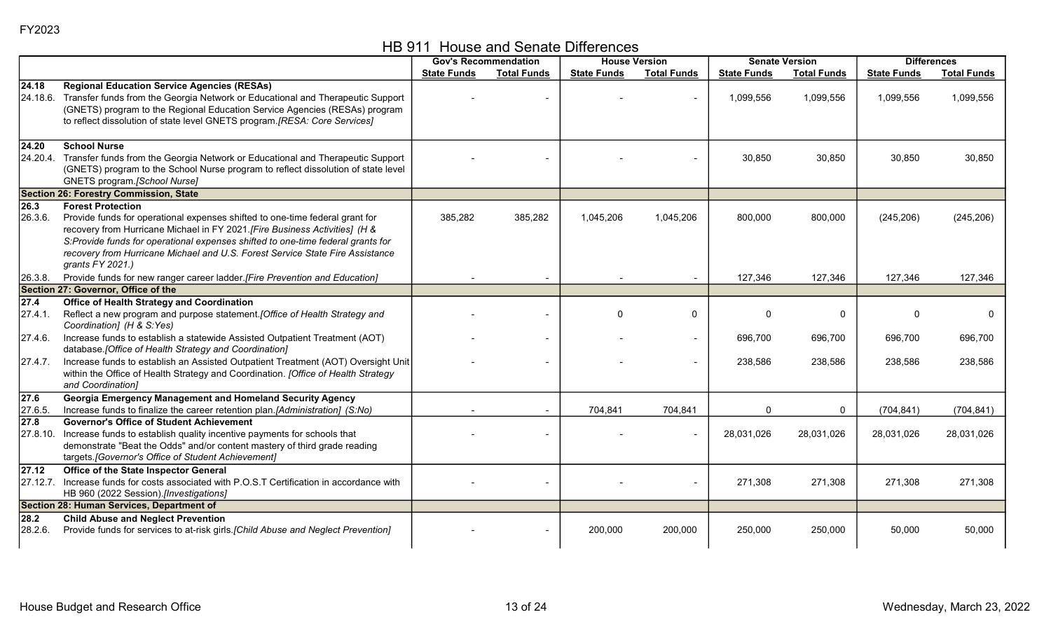| HB 911 House and Senate Differences |  |
|-------------------------------------|--|
|-------------------------------------|--|

|                               |                                                                                                                                                                                                                                                                                                                                                                                 |                    | <b>Gov's Recommendation</b> |                    | <b>House Version</b>     | <b>Senate Version</b> |                    | <b>Differences</b> |                    |
|-------------------------------|---------------------------------------------------------------------------------------------------------------------------------------------------------------------------------------------------------------------------------------------------------------------------------------------------------------------------------------------------------------------------------|--------------------|-----------------------------|--------------------|--------------------------|-----------------------|--------------------|--------------------|--------------------|
|                               |                                                                                                                                                                                                                                                                                                                                                                                 | <b>State Funds</b> | <b>Total Funds</b>          | <b>State Funds</b> | <b>Total Funds</b>       | <b>State Funds</b>    | <b>Total Funds</b> | <b>State Funds</b> | <b>Total Funds</b> |
| 24.18<br>l24.18.6.            | <b>Regional Education Service Agencies (RESAs)</b><br>Transfer funds from the Georgia Network or Educational and Therapeutic Support<br>(GNETS) program to the Regional Education Service Agencies (RESAs) program<br>to reflect dissolution of state level GNETS program.[RESA: Core Services]                                                                                 |                    |                             |                    |                          | 1,099,556             | 1,099,556          | 1,099,556          | 1,099,556          |
| 24.20<br>24.20.4.             | <b>School Nurse</b><br>Transfer funds from the Georgia Network or Educational and Therapeutic Support<br>(GNETS) program to the School Nurse program to reflect dissolution of state level<br>GNETS program.[School Nurse]                                                                                                                                                      |                    |                             |                    |                          | 30,850                | 30,850             | 30,850             | 30,850             |
|                               | <b>Section 26: Forestry Commission, State</b>                                                                                                                                                                                                                                                                                                                                   |                    |                             |                    |                          |                       |                    |                    |                    |
| 26.3<br>26.3.6.               | <b>Forest Protection</b><br>Provide funds for operational expenses shifted to one-time federal grant for<br>recovery from Hurricane Michael in FY 2021. [Fire Business Activities] (H &<br>S:Provide funds for operational expenses shifted to one-time federal grants for<br>recovery from Hurricane Michael and U.S. Forest Service State Fire Assistance<br>grants FY 2021.) | 385,282            | 385,282                     | 1,045,206          | 1,045,206                | 800,000               | 800,000            | (245, 206)         | (245, 206)         |
| 26.3.8.                       | Provide funds for new ranger career ladder. [Fire Prevention and Education]                                                                                                                                                                                                                                                                                                     |                    |                             |                    |                          | 127,346               | 127,346            | 127,346            | 127,346            |
|                               | Section 27: Governor, Office of the                                                                                                                                                                                                                                                                                                                                             |                    |                             |                    |                          |                       |                    |                    |                    |
| 27.4<br>27.4.1.               | <b>Office of Health Strategy and Coordination</b><br>Reflect a new program and purpose statement. [Office of Health Strategy and<br>Coordination] (H & S:Yes)                                                                                                                                                                                                                   |                    |                             | $\Omega$           | 0                        | $\Omega$              | 0                  |                    | 0                  |
| 27.4.6.                       | Increase funds to establish a statewide Assisted Outpatient Treatment (AOT)<br>database. [Office of Health Strategy and Coordination]                                                                                                                                                                                                                                           |                    |                             |                    | $\overline{\phantom{0}}$ | 696,700               | 696,700            | 696,700            | 696,700            |
| 27.4.7.                       | Increase funds to establish an Assisted Outpatient Treatment (AOT) Oversight Unit<br>within the Office of Health Strategy and Coordination. [Office of Health Strategy<br>and Coordination]                                                                                                                                                                                     |                    |                             |                    |                          | 238,586               | 238,586            | 238,586            | 238,586            |
| 27.6<br>27.6.5.               | Georgia Emergency Management and Homeland Security Agency<br>Increase funds to finalize the career retention plan.[Administration] (S:No)                                                                                                                                                                                                                                       |                    |                             | 704,841            | 704,841                  | $\mathbf{0}$          | 0                  | (704, 841)         | (704, 841)         |
| $\overline{27.8}$<br>27.8.10. | <b>Governor's Office of Student Achievement</b><br>Increase funds to establish quality incentive payments for schools that<br>demonstrate "Beat the Odds" and/or content mastery of third grade reading<br>targets.[Governor's Office of Student Achievement]                                                                                                                   |                    |                             |                    |                          | 28,031,026            | 28,031,026         | 28,031,026         | 28,031,026         |
| 27.12<br>27.12.7.             | Office of the State Inspector General<br>Increase funds for costs associated with P.O.S.T Certification in accordance with<br>HB 960 (2022 Session).[Investigations]                                                                                                                                                                                                            |                    |                             |                    |                          | 271,308               | 271,308            | 271,308            | 271,308            |
| 28.2                          | Section 28: Human Services, Department of<br><b>Child Abuse and Neglect Prevention</b>                                                                                                                                                                                                                                                                                          |                    |                             |                    |                          |                       |                    |                    |                    |
| 28.2.6.                       | Provide funds for services to at-risk girls. [Child Abuse and Neglect Prevention]                                                                                                                                                                                                                                                                                               |                    |                             | 200,000            | 200,000                  | 250,000               | 250,000            | 50,000             | 50,000             |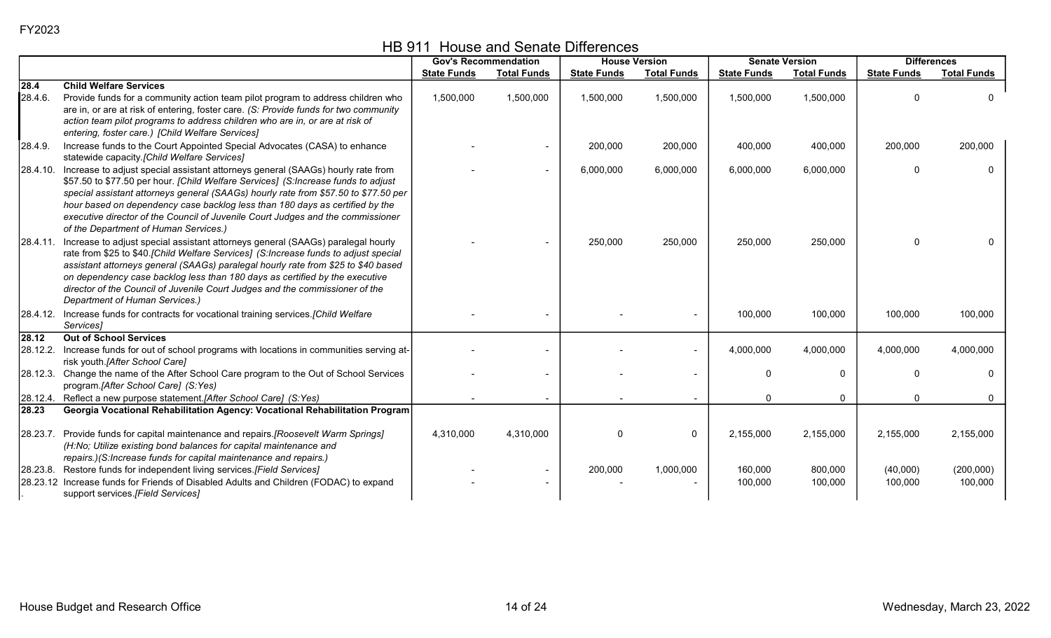HB 911 House and Senate Differences

|          |                                                                                                                                                                                                                                                                                                                                                                                                                                                                                  | <b>Gov's Recommendation</b> |                          | <b>House Version</b> |                    | <b>Senate Version</b> |                    | <b>Differences</b>  |                      |
|----------|----------------------------------------------------------------------------------------------------------------------------------------------------------------------------------------------------------------------------------------------------------------------------------------------------------------------------------------------------------------------------------------------------------------------------------------------------------------------------------|-----------------------------|--------------------------|----------------------|--------------------|-----------------------|--------------------|---------------------|----------------------|
|          |                                                                                                                                                                                                                                                                                                                                                                                                                                                                                  | <b>State Funds</b>          | <b>Total Funds</b>       | <b>State Funds</b>   | <b>Total Funds</b> | <b>State Funds</b>    | <b>Total Funds</b> | <b>State Funds</b>  | <b>Total Funds</b>   |
| 28.4     | <b>Child Welfare Services</b>                                                                                                                                                                                                                                                                                                                                                                                                                                                    |                             |                          |                      |                    |                       |                    |                     |                      |
| 28.4.6.  | Provide funds for a community action team pilot program to address children who<br>are in, or are at risk of entering, foster care. (S: Provide funds for two community<br>action team pilot programs to address children who are in, or are at risk of<br>entering, foster care.) [Child Welfare Services]                                                                                                                                                                      | 1,500,000                   | 1,500,000                | 1,500,000            | 1,500,000          | 1,500,000             | 1,500,000          | O                   | $\Omega$             |
| 28.4.9.  | Increase funds to the Court Appointed Special Advocates (CASA) to enhance<br>statewide capacity.[Child Welfare Services]                                                                                                                                                                                                                                                                                                                                                         |                             |                          | 200,000              | 200,000            | 400,000               | 400,000            | 200,000             | 200,000              |
|          | 28.4.10. Increase to adjust special assistant attorneys general (SAAGs) hourly rate from<br>\$57.50 to \$77.50 per hour. [Child Welfare Services] (S:Increase funds to adjust<br>special assistant attorneys general (SAAGs) hourly rate from \$57.50 to \$77.50 per<br>hour based on dependency case backlog less than 180 days as certified by the<br>executive director of the Council of Juvenile Court Judges and the commissioner<br>of the Department of Human Services.) |                             | $\overline{\phantom{0}}$ | 6,000,000            | 6,000,000          | 6,000,000             | 6,000,000          | $\mathbf{0}$        | $\Omega$             |
|          | 28.4.11. Increase to adjust special assistant attorneys general (SAAGs) paralegal hourly<br>rate from \$25 to \$40.[Child Welfare Services] (S:Increase funds to adjust special<br>assistant attorneys general (SAAGs) paralegal hourly rate from \$25 to \$40 based<br>on dependency case backlog less than 180 days as certified by the executive<br>director of the Council of Juvenile Court Judges and the commissioner of the<br>Department of Human Services.)            |                             |                          | 250,000              | 250,000            | 250,000               | 250,000            | 0                   |                      |
|          | 28.4.12. Increase funds for contracts for vocational training services. [Child Welfare<br>Services]                                                                                                                                                                                                                                                                                                                                                                              |                             |                          |                      |                    | 100,000               | 100,000            | 100,000             | 100,000              |
| 28.12    | <b>Out of School Services</b>                                                                                                                                                                                                                                                                                                                                                                                                                                                    |                             |                          |                      |                    |                       |                    |                     |                      |
| 28.12.2. | Increase funds for out of school programs with locations in communities serving at-<br>risk youth.[After School Care]                                                                                                                                                                                                                                                                                                                                                            |                             |                          |                      |                    | 4,000,000             | 4,000,000          | 4,000,000           | 4,000,000            |
| 28.12.3. | Change the name of the After School Care program to the Out of School Services<br>program.[After School Care] (S:Yes)                                                                                                                                                                                                                                                                                                                                                            |                             |                          |                      |                    | 0                     | $\Omega$           | $\mathbf{0}$        | $\Omega$             |
|          | [28.12.4. Reflect a new purpose statement.[After School Care] (S:Yes)                                                                                                                                                                                                                                                                                                                                                                                                            |                             | $\sim$                   |                      |                    | 0                     | $\mathbf{0}$       | $\mathbf{0}$        | $\mathbf 0$          |
| 28.23    | Georgia Vocational Rehabilitation Agency: Vocational Rehabilitation Program                                                                                                                                                                                                                                                                                                                                                                                                      |                             |                          |                      |                    |                       |                    |                     |                      |
| 28.23.7. | Provide funds for capital maintenance and repairs.[Roosevelt Warm Springs]<br>(H:No; Utilize existing bond balances for capital maintenance and<br>repairs.)(S:Increase funds for capital maintenance and repairs.)                                                                                                                                                                                                                                                              | 4,310,000                   | 4,310,000                | $\Omega$             | $\mathbf{0}$       | 2,155,000             | 2,155,000          | 2,155,000           | 2,155,000            |
|          | [28.23.8. Restore funds for independent living services.[Field Services]<br>28.23.12 Increase funds for Friends of Disabled Adults and Children (FODAC) to expand<br>support services.[Field Services]                                                                                                                                                                                                                                                                           |                             |                          | 200,000              | 1,000,000          | 160,000<br>100,000    | 800,000<br>100,000 | (40,000)<br>100,000 | (200,000)<br>100,000 |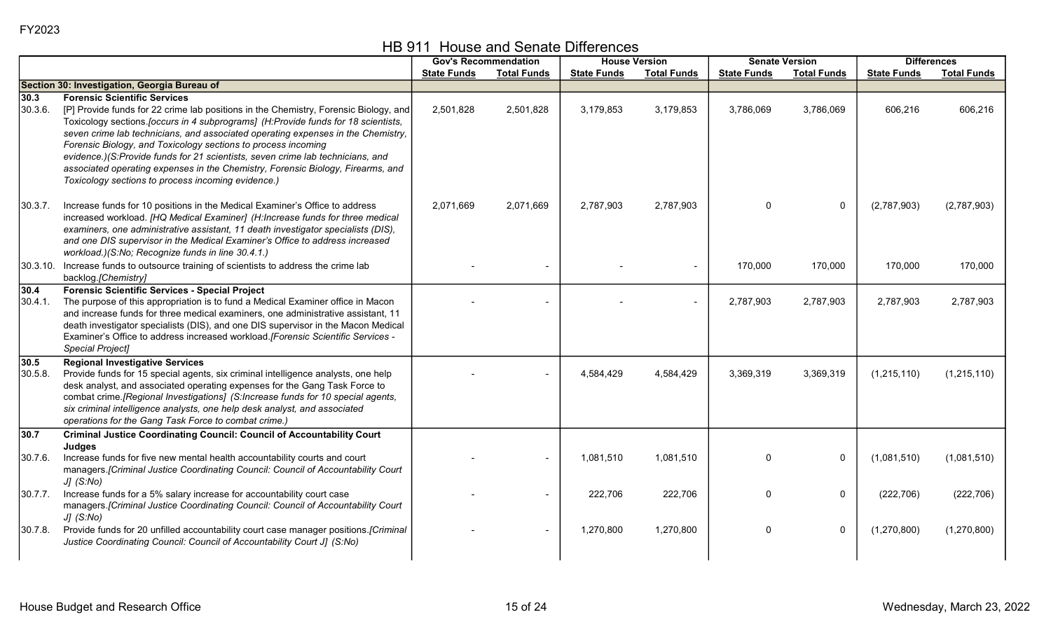|                 |                                                                                                                                                                                                                                                                                                                                                                                                                                                                                                                                                                                                   |                    | <b>Gov's Recommendation</b> | <b>House Version</b> |                    | <b>Senate Version</b> |                    |                    | <b>Differences</b> |
|-----------------|---------------------------------------------------------------------------------------------------------------------------------------------------------------------------------------------------------------------------------------------------------------------------------------------------------------------------------------------------------------------------------------------------------------------------------------------------------------------------------------------------------------------------------------------------------------------------------------------------|--------------------|-----------------------------|----------------------|--------------------|-----------------------|--------------------|--------------------|--------------------|
|                 |                                                                                                                                                                                                                                                                                                                                                                                                                                                                                                                                                                                                   | <b>State Funds</b> | <b>Total Funds</b>          | <b>State Funds</b>   | <b>Total Funds</b> | <b>State Funds</b>    | <b>Total Funds</b> | <b>State Funds</b> | <b>Total Funds</b> |
|                 | Section 30: Investigation, Georgia Bureau of                                                                                                                                                                                                                                                                                                                                                                                                                                                                                                                                                      |                    |                             |                      |                    |                       |                    |                    |                    |
| 30.3<br>30.3.6. | <b>Forensic Scientific Services</b><br>[P] Provide funds for 22 crime lab positions in the Chemistry, Forensic Biology, and<br>Toxicology sections. [occurs in 4 subprograms] (H:Provide funds for 18 scientists,<br>seven crime lab technicians, and associated operating expenses in the Chemistry,<br>Forensic Biology, and Toxicology sections to process incoming<br>evidence.)(S:Provide funds for 21 scientists, seven crime lab technicians, and<br>associated operating expenses in the Chemistry, Forensic Biology, Firearms, and<br>Toxicology sections to process incoming evidence.) | 2,501,828          | 2,501,828                   | 3,179,853            | 3,179,853          | 3,786,069             | 3,786,069          | 606,216            | 606,216            |
| 30.3.7.         | Increase funds for 10 positions in the Medical Examiner's Office to address<br>increased workload. [HQ Medical Examiner] (H:Increase funds for three medical<br>examiners, one administrative assistant, 11 death investigator specialists (DIS),<br>and one DIS supervisor in the Medical Examiner's Office to address increased<br>workload.)(S:No; Recognize funds in line 30.4.1.)                                                                                                                                                                                                            | 2,071,669          | 2,071,669                   | 2,787,903            | 2,787,903          | $\Omega$              | $\mathbf 0$        | (2,787,903)        | (2,787,903)        |
|                 | 30.3.10. Increase funds to outsource training of scientists to address the crime lab<br>backlog.[Chemistry]                                                                                                                                                                                                                                                                                                                                                                                                                                                                                       |                    |                             |                      |                    | 170,000               | 170,000            | 170,000            | 170,000            |
| 30.4<br>30.4.1. | <b>Forensic Scientific Services - Special Project</b><br>The purpose of this appropriation is to fund a Medical Examiner office in Macon<br>and increase funds for three medical examiners, one administrative assistant, 11<br>death investigator specialists (DIS), and one DIS supervisor in the Macon Medical<br>Examiner's Office to address increased workload. [Forensic Scientific Services -<br>Special Project]                                                                                                                                                                         |                    |                             |                      |                    | 2,787,903             | 2,787,903          | 2,787,903          | 2,787,903          |
| 30.5<br>30.5.8. | <b>Regional Investigative Services</b><br>Provide funds for 15 special agents, six criminal intelligence analysts, one help<br>desk analyst, and associated operating expenses for the Gang Task Force to<br>combat crime.[Regional Investigations] (S:Increase funds for 10 special agents,<br>six criminal intelligence analysts, one help desk analyst, and associated<br>operations for the Gang Task Force to combat crime.)                                                                                                                                                                 |                    |                             | 4,584,429            | 4,584,429          | 3,369,319             | 3,369,319          | (1, 215, 110)      | (1,215,110)        |
| 30.7            | <b>Criminal Justice Coordinating Council: Council of Accountability Court</b>                                                                                                                                                                                                                                                                                                                                                                                                                                                                                                                     |                    |                             |                      |                    |                       |                    |                    |                    |
| 30.7.6.         | Judges<br>Increase funds for five new mental health accountability courts and court<br>managers.[Criminal Justice Coordinating Council: Council of Accountability Court<br>$JJ$ (S:No)                                                                                                                                                                                                                                                                                                                                                                                                            |                    |                             | 1,081,510            | 1,081,510          | $\Omega$              | $\mathbf 0$        | (1,081,510)        | (1,081,510)        |
| 30.7.7.         | Increase funds for a 5% salary increase for accountability court case<br>managers.[Criminal Justice Coordinating Council: Council of Accountability Court<br>$JJ$ (S:No)                                                                                                                                                                                                                                                                                                                                                                                                                          |                    |                             | 222,706              | 222,706            | $\Omega$              | $\mathbf 0$        | (222, 706)         | (222, 706)         |
| 30.7.8          | Provide funds for 20 unfilled accountability court case manager positions.[Criminal<br>Justice Coordinating Council: Council of Accountability Court J] (S:No)                                                                                                                                                                                                                                                                                                                                                                                                                                    |                    |                             | 1,270,800            | 1,270,800          | $\Omega$              | $\pmb{0}$          | (1,270,800)        | (1,270,800)        |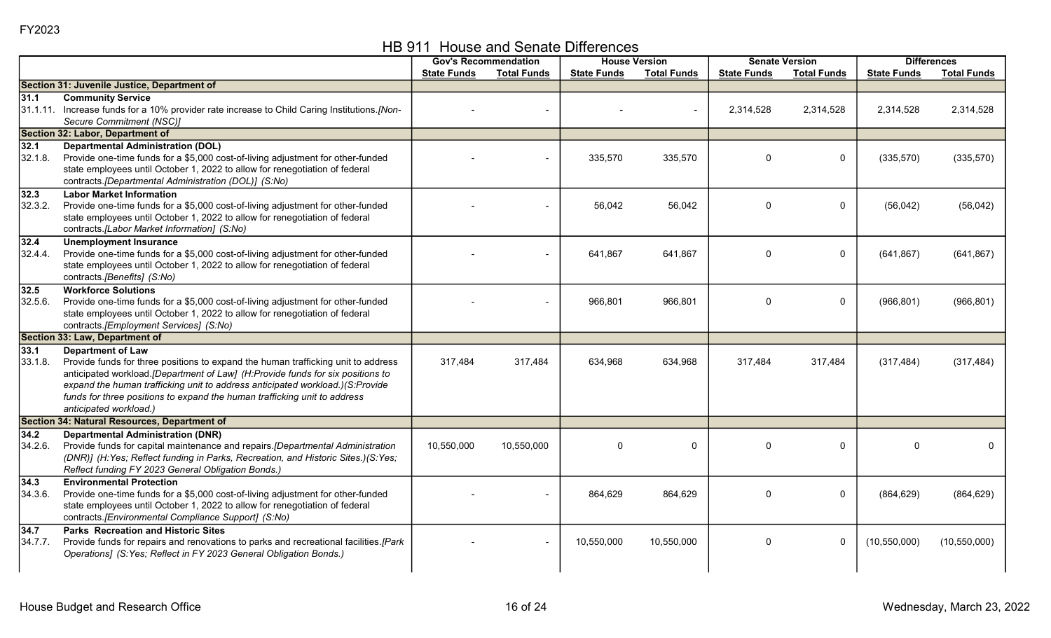HB 911 House and Senate Differences

| <b>State Funds</b><br><b>Total Funds</b><br><b>Total Funds</b><br><b>Total Funds</b><br><b>State Funds</b><br><b>State Funds</b><br><b>State Funds</b><br>Section 31: Juvenile Justice, Department of<br><b>Community Service</b><br>31.1<br>31.1.11. Increase funds for a 10% provider rate increase to Child Caring Institutions.[Non-<br>2,314,528<br>2,314,528<br>2,314,528<br>2,314,528<br>Secure Commitment (NSC)]<br>Section 32: Labor, Department of<br>32.1<br><b>Departmental Administration (DOL)</b><br>32.1.8.<br>Provide one-time funds for a \$5,000 cost-of-living adjustment for other-funded<br>$\mathbf 0$<br>(335,570)<br>335,570<br>335,570<br>$\Omega$<br>(335, 570)<br>state employees until October 1, 2022 to allow for renegotiation of federal<br>contracts.[Departmental Administration (DOL)] (S:No)<br><b>Labor Market Information</b><br>32.3<br>32.3.2.<br>Provide one-time funds for a \$5,000 cost-of-living adjustment for other-funded<br>56,042<br>56,042<br>0<br>(56, 042)<br>(56, 042)<br>$\Omega$<br>state employees until October 1, 2022 to allow for renegotiation of federal<br>contracts.[Labor Market Information] (S:No)<br>32.4<br><b>Unemployment Insurance</b><br>Provide one-time funds for a \$5,000 cost-of-living adjustment for other-funded<br>$\mathbf 0$<br>32.4.4.<br>641,867<br>641,867<br>$\Omega$<br>(641, 867)<br>(641, 867)<br>state employees until October 1, 2022 to allow for renegotiation of federal<br>contracts.[Benefits] (S:No)<br><b>Workforce Solutions</b><br>32.5<br>32.5.6.<br>Provide one-time funds for a \$5,000 cost-of-living adjustment for other-funded<br>966,801<br>966,801<br>$\Omega$<br>$\mathbf 0$<br>(966, 801)<br>(966, 801)<br>state employees until October 1, 2022 to allow for renegotiation of federal<br>contracts.[Employment Services] (S:No)<br>Section 33: Law, Department of<br>33.1<br><b>Department of Law</b><br>33.1.8.<br>Provide funds for three positions to expand the human trafficking unit to address<br>317,484<br>317,484<br>634,968<br>634,968<br>317,484<br>317,484<br>(317, 484)<br>(317, 484)<br>anticipated workload.[Department of Law] (H:Provide funds for six positions to<br>expand the human trafficking unit to address anticipated workload.)(S:Provide |                                                                           | <b>Gov's Recommendation</b> | <b>House Version</b> | <b>Senate Version</b> |  | <b>Differences</b> |
|--------------------------------------------------------------------------------------------------------------------------------------------------------------------------------------------------------------------------------------------------------------------------------------------------------------------------------------------------------------------------------------------------------------------------------------------------------------------------------------------------------------------------------------------------------------------------------------------------------------------------------------------------------------------------------------------------------------------------------------------------------------------------------------------------------------------------------------------------------------------------------------------------------------------------------------------------------------------------------------------------------------------------------------------------------------------------------------------------------------------------------------------------------------------------------------------------------------------------------------------------------------------------------------------------------------------------------------------------------------------------------------------------------------------------------------------------------------------------------------------------------------------------------------------------------------------------------------------------------------------------------------------------------------------------------------------------------------------------------------------------------------------------------------------------------------------------------------------------------------------------------------------------------------------------------------------------------------------------------------------------------------------------------------------------------------------------------------------------------------------------------------------------------------------------------------------------------------------------------------------------------------------------------------------|---------------------------------------------------------------------------|-----------------------------|----------------------|-----------------------|--|--------------------|
|                                                                                                                                                                                                                                                                                                                                                                                                                                                                                                                                                                                                                                                                                                                                                                                                                                                                                                                                                                                                                                                                                                                                                                                                                                                                                                                                                                                                                                                                                                                                                                                                                                                                                                                                                                                                                                                                                                                                                                                                                                                                                                                                                                                                                                                                                            |                                                                           |                             |                      |                       |  | <b>Total Funds</b> |
|                                                                                                                                                                                                                                                                                                                                                                                                                                                                                                                                                                                                                                                                                                                                                                                                                                                                                                                                                                                                                                                                                                                                                                                                                                                                                                                                                                                                                                                                                                                                                                                                                                                                                                                                                                                                                                                                                                                                                                                                                                                                                                                                                                                                                                                                                            |                                                                           |                             |                      |                       |  |                    |
|                                                                                                                                                                                                                                                                                                                                                                                                                                                                                                                                                                                                                                                                                                                                                                                                                                                                                                                                                                                                                                                                                                                                                                                                                                                                                                                                                                                                                                                                                                                                                                                                                                                                                                                                                                                                                                                                                                                                                                                                                                                                                                                                                                                                                                                                                            |                                                                           |                             |                      |                       |  |                    |
|                                                                                                                                                                                                                                                                                                                                                                                                                                                                                                                                                                                                                                                                                                                                                                                                                                                                                                                                                                                                                                                                                                                                                                                                                                                                                                                                                                                                                                                                                                                                                                                                                                                                                                                                                                                                                                                                                                                                                                                                                                                                                                                                                                                                                                                                                            |                                                                           |                             |                      |                       |  |                    |
|                                                                                                                                                                                                                                                                                                                                                                                                                                                                                                                                                                                                                                                                                                                                                                                                                                                                                                                                                                                                                                                                                                                                                                                                                                                                                                                                                                                                                                                                                                                                                                                                                                                                                                                                                                                                                                                                                                                                                                                                                                                                                                                                                                                                                                                                                            |                                                                           |                             |                      |                       |  |                    |
|                                                                                                                                                                                                                                                                                                                                                                                                                                                                                                                                                                                                                                                                                                                                                                                                                                                                                                                                                                                                                                                                                                                                                                                                                                                                                                                                                                                                                                                                                                                                                                                                                                                                                                                                                                                                                                                                                                                                                                                                                                                                                                                                                                                                                                                                                            |                                                                           |                             |                      |                       |  |                    |
|                                                                                                                                                                                                                                                                                                                                                                                                                                                                                                                                                                                                                                                                                                                                                                                                                                                                                                                                                                                                                                                                                                                                                                                                                                                                                                                                                                                                                                                                                                                                                                                                                                                                                                                                                                                                                                                                                                                                                                                                                                                                                                                                                                                                                                                                                            |                                                                           |                             |                      |                       |  |                    |
|                                                                                                                                                                                                                                                                                                                                                                                                                                                                                                                                                                                                                                                                                                                                                                                                                                                                                                                                                                                                                                                                                                                                                                                                                                                                                                                                                                                                                                                                                                                                                                                                                                                                                                                                                                                                                                                                                                                                                                                                                                                                                                                                                                                                                                                                                            |                                                                           |                             |                      |                       |  |                    |
|                                                                                                                                                                                                                                                                                                                                                                                                                                                                                                                                                                                                                                                                                                                                                                                                                                                                                                                                                                                                                                                                                                                                                                                                                                                                                                                                                                                                                                                                                                                                                                                                                                                                                                                                                                                                                                                                                                                                                                                                                                                                                                                                                                                                                                                                                            |                                                                           |                             |                      |                       |  |                    |
|                                                                                                                                                                                                                                                                                                                                                                                                                                                                                                                                                                                                                                                                                                                                                                                                                                                                                                                                                                                                                                                                                                                                                                                                                                                                                                                                                                                                                                                                                                                                                                                                                                                                                                                                                                                                                                                                                                                                                                                                                                                                                                                                                                                                                                                                                            |                                                                           |                             |                      |                       |  |                    |
|                                                                                                                                                                                                                                                                                                                                                                                                                                                                                                                                                                                                                                                                                                                                                                                                                                                                                                                                                                                                                                                                                                                                                                                                                                                                                                                                                                                                                                                                                                                                                                                                                                                                                                                                                                                                                                                                                                                                                                                                                                                                                                                                                                                                                                                                                            |                                                                           |                             |                      |                       |  |                    |
|                                                                                                                                                                                                                                                                                                                                                                                                                                                                                                                                                                                                                                                                                                                                                                                                                                                                                                                                                                                                                                                                                                                                                                                                                                                                                                                                                                                                                                                                                                                                                                                                                                                                                                                                                                                                                                                                                                                                                                                                                                                                                                                                                                                                                                                                                            |                                                                           |                             |                      |                       |  |                    |
|                                                                                                                                                                                                                                                                                                                                                                                                                                                                                                                                                                                                                                                                                                                                                                                                                                                                                                                                                                                                                                                                                                                                                                                                                                                                                                                                                                                                                                                                                                                                                                                                                                                                                                                                                                                                                                                                                                                                                                                                                                                                                                                                                                                                                                                                                            |                                                                           |                             |                      |                       |  |                    |
|                                                                                                                                                                                                                                                                                                                                                                                                                                                                                                                                                                                                                                                                                                                                                                                                                                                                                                                                                                                                                                                                                                                                                                                                                                                                                                                                                                                                                                                                                                                                                                                                                                                                                                                                                                                                                                                                                                                                                                                                                                                                                                                                                                                                                                                                                            |                                                                           |                             |                      |                       |  |                    |
|                                                                                                                                                                                                                                                                                                                                                                                                                                                                                                                                                                                                                                                                                                                                                                                                                                                                                                                                                                                                                                                                                                                                                                                                                                                                                                                                                                                                                                                                                                                                                                                                                                                                                                                                                                                                                                                                                                                                                                                                                                                                                                                                                                                                                                                                                            |                                                                           |                             |                      |                       |  |                    |
|                                                                                                                                                                                                                                                                                                                                                                                                                                                                                                                                                                                                                                                                                                                                                                                                                                                                                                                                                                                                                                                                                                                                                                                                                                                                                                                                                                                                                                                                                                                                                                                                                                                                                                                                                                                                                                                                                                                                                                                                                                                                                                                                                                                                                                                                                            |                                                                           |                             |                      |                       |  |                    |
|                                                                                                                                                                                                                                                                                                                                                                                                                                                                                                                                                                                                                                                                                                                                                                                                                                                                                                                                                                                                                                                                                                                                                                                                                                                                                                                                                                                                                                                                                                                                                                                                                                                                                                                                                                                                                                                                                                                                                                                                                                                                                                                                                                                                                                                                                            |                                                                           |                             |                      |                       |  |                    |
|                                                                                                                                                                                                                                                                                                                                                                                                                                                                                                                                                                                                                                                                                                                                                                                                                                                                                                                                                                                                                                                                                                                                                                                                                                                                                                                                                                                                                                                                                                                                                                                                                                                                                                                                                                                                                                                                                                                                                                                                                                                                                                                                                                                                                                                                                            |                                                                           |                             |                      |                       |  |                    |
|                                                                                                                                                                                                                                                                                                                                                                                                                                                                                                                                                                                                                                                                                                                                                                                                                                                                                                                                                                                                                                                                                                                                                                                                                                                                                                                                                                                                                                                                                                                                                                                                                                                                                                                                                                                                                                                                                                                                                                                                                                                                                                                                                                                                                                                                                            |                                                                           |                             |                      |                       |  |                    |
|                                                                                                                                                                                                                                                                                                                                                                                                                                                                                                                                                                                                                                                                                                                                                                                                                                                                                                                                                                                                                                                                                                                                                                                                                                                                                                                                                                                                                                                                                                                                                                                                                                                                                                                                                                                                                                                                                                                                                                                                                                                                                                                                                                                                                                                                                            |                                                                           |                             |                      |                       |  |                    |
|                                                                                                                                                                                                                                                                                                                                                                                                                                                                                                                                                                                                                                                                                                                                                                                                                                                                                                                                                                                                                                                                                                                                                                                                                                                                                                                                                                                                                                                                                                                                                                                                                                                                                                                                                                                                                                                                                                                                                                                                                                                                                                                                                                                                                                                                                            |                                                                           |                             |                      |                       |  |                    |
|                                                                                                                                                                                                                                                                                                                                                                                                                                                                                                                                                                                                                                                                                                                                                                                                                                                                                                                                                                                                                                                                                                                                                                                                                                                                                                                                                                                                                                                                                                                                                                                                                                                                                                                                                                                                                                                                                                                                                                                                                                                                                                                                                                                                                                                                                            |                                                                           |                             |                      |                       |  |                    |
|                                                                                                                                                                                                                                                                                                                                                                                                                                                                                                                                                                                                                                                                                                                                                                                                                                                                                                                                                                                                                                                                                                                                                                                                                                                                                                                                                                                                                                                                                                                                                                                                                                                                                                                                                                                                                                                                                                                                                                                                                                                                                                                                                                                                                                                                                            |                                                                           |                             |                      |                       |  |                    |
|                                                                                                                                                                                                                                                                                                                                                                                                                                                                                                                                                                                                                                                                                                                                                                                                                                                                                                                                                                                                                                                                                                                                                                                                                                                                                                                                                                                                                                                                                                                                                                                                                                                                                                                                                                                                                                                                                                                                                                                                                                                                                                                                                                                                                                                                                            |                                                                           |                             |                      |                       |  |                    |
|                                                                                                                                                                                                                                                                                                                                                                                                                                                                                                                                                                                                                                                                                                                                                                                                                                                                                                                                                                                                                                                                                                                                                                                                                                                                                                                                                                                                                                                                                                                                                                                                                                                                                                                                                                                                                                                                                                                                                                                                                                                                                                                                                                                                                                                                                            |                                                                           |                             |                      |                       |  |                    |
|                                                                                                                                                                                                                                                                                                                                                                                                                                                                                                                                                                                                                                                                                                                                                                                                                                                                                                                                                                                                                                                                                                                                                                                                                                                                                                                                                                                                                                                                                                                                                                                                                                                                                                                                                                                                                                                                                                                                                                                                                                                                                                                                                                                                                                                                                            |                                                                           |                             |                      |                       |  |                    |
|                                                                                                                                                                                                                                                                                                                                                                                                                                                                                                                                                                                                                                                                                                                                                                                                                                                                                                                                                                                                                                                                                                                                                                                                                                                                                                                                                                                                                                                                                                                                                                                                                                                                                                                                                                                                                                                                                                                                                                                                                                                                                                                                                                                                                                                                                            | funds for three positions to expand the human trafficking unit to address |                             |                      |                       |  |                    |
| anticipated workload.)                                                                                                                                                                                                                                                                                                                                                                                                                                                                                                                                                                                                                                                                                                                                                                                                                                                                                                                                                                                                                                                                                                                                                                                                                                                                                                                                                                                                                                                                                                                                                                                                                                                                                                                                                                                                                                                                                                                                                                                                                                                                                                                                                                                                                                                                     |                                                                           |                             |                      |                       |  |                    |
| Section 34: Natural Resources, Department of                                                                                                                                                                                                                                                                                                                                                                                                                                                                                                                                                                                                                                                                                                                                                                                                                                                                                                                                                                                                                                                                                                                                                                                                                                                                                                                                                                                                                                                                                                                                                                                                                                                                                                                                                                                                                                                                                                                                                                                                                                                                                                                                                                                                                                               |                                                                           |                             |                      |                       |  |                    |
| 34.2<br><b>Departmental Administration (DNR)</b><br>34.2.6.<br>$\Omega$<br>$\mathbf 0$<br>$\Omega$<br>$\Omega$<br>$\Omega$<br>$\mathbf{0}$                                                                                                                                                                                                                                                                                                                                                                                                                                                                                                                                                                                                                                                                                                                                                                                                                                                                                                                                                                                                                                                                                                                                                                                                                                                                                                                                                                                                                                                                                                                                                                                                                                                                                                                                                                                                                                                                                                                                                                                                                                                                                                                                                 |                                                                           |                             |                      |                       |  |                    |
| Provide funds for capital maintenance and repairs. [Departmental Administration<br>10,550,000<br>10,550,000<br>(DNR)] (H:Yes; Reflect funding in Parks, Recreation, and Historic Sites.)(S:Yes;                                                                                                                                                                                                                                                                                                                                                                                                                                                                                                                                                                                                                                                                                                                                                                                                                                                                                                                                                                                                                                                                                                                                                                                                                                                                                                                                                                                                                                                                                                                                                                                                                                                                                                                                                                                                                                                                                                                                                                                                                                                                                            |                                                                           |                             |                      |                       |  |                    |
| Reflect funding FY 2023 General Obligation Bonds.)                                                                                                                                                                                                                                                                                                                                                                                                                                                                                                                                                                                                                                                                                                                                                                                                                                                                                                                                                                                                                                                                                                                                                                                                                                                                                                                                                                                                                                                                                                                                                                                                                                                                                                                                                                                                                                                                                                                                                                                                                                                                                                                                                                                                                                         |                                                                           |                             |                      |                       |  |                    |
| <b>Environmental Protection</b><br>34.3                                                                                                                                                                                                                                                                                                                                                                                                                                                                                                                                                                                                                                                                                                                                                                                                                                                                                                                                                                                                                                                                                                                                                                                                                                                                                                                                                                                                                                                                                                                                                                                                                                                                                                                                                                                                                                                                                                                                                                                                                                                                                                                                                                                                                                                    |                                                                           |                             |                      |                       |  |                    |
| 34.3.6.<br>Provide one-time funds for a \$5,000 cost-of-living adjustment for other-funded<br>$\Omega$<br>0<br>864,629<br>864,629<br>(864, 629)<br>(864, 629)                                                                                                                                                                                                                                                                                                                                                                                                                                                                                                                                                                                                                                                                                                                                                                                                                                                                                                                                                                                                                                                                                                                                                                                                                                                                                                                                                                                                                                                                                                                                                                                                                                                                                                                                                                                                                                                                                                                                                                                                                                                                                                                              |                                                                           |                             |                      |                       |  |                    |
| state employees until October 1, 2022 to allow for renegotiation of federal                                                                                                                                                                                                                                                                                                                                                                                                                                                                                                                                                                                                                                                                                                                                                                                                                                                                                                                                                                                                                                                                                                                                                                                                                                                                                                                                                                                                                                                                                                                                                                                                                                                                                                                                                                                                                                                                                                                                                                                                                                                                                                                                                                                                                |                                                                           |                             |                      |                       |  |                    |
| contracts.[Environmental Compliance Support] (S:No)                                                                                                                                                                                                                                                                                                                                                                                                                                                                                                                                                                                                                                                                                                                                                                                                                                                                                                                                                                                                                                                                                                                                                                                                                                                                                                                                                                                                                                                                                                                                                                                                                                                                                                                                                                                                                                                                                                                                                                                                                                                                                                                                                                                                                                        |                                                                           |                             |                      |                       |  |                    |
| <b>Parks Recreation and Historic Sites</b><br>34.7                                                                                                                                                                                                                                                                                                                                                                                                                                                                                                                                                                                                                                                                                                                                                                                                                                                                                                                                                                                                                                                                                                                                                                                                                                                                                                                                                                                                                                                                                                                                                                                                                                                                                                                                                                                                                                                                                                                                                                                                                                                                                                                                                                                                                                         |                                                                           |                             |                      |                       |  |                    |
| 10,550,000<br>$\mathbf{0}$<br>(10, 550, 000)<br>34.7.7.<br>Provide funds for repairs and renovations to parks and recreational facilities.[Park<br>10,550,000<br>0<br>(10, 550, 000)                                                                                                                                                                                                                                                                                                                                                                                                                                                                                                                                                                                                                                                                                                                                                                                                                                                                                                                                                                                                                                                                                                                                                                                                                                                                                                                                                                                                                                                                                                                                                                                                                                                                                                                                                                                                                                                                                                                                                                                                                                                                                                       |                                                                           |                             |                      |                       |  |                    |
| Operations] (S:Yes; Reflect in FY 2023 General Obligation Bonds.)                                                                                                                                                                                                                                                                                                                                                                                                                                                                                                                                                                                                                                                                                                                                                                                                                                                                                                                                                                                                                                                                                                                                                                                                                                                                                                                                                                                                                                                                                                                                                                                                                                                                                                                                                                                                                                                                                                                                                                                                                                                                                                                                                                                                                          |                                                                           |                             |                      |                       |  |                    |
|                                                                                                                                                                                                                                                                                                                                                                                                                                                                                                                                                                                                                                                                                                                                                                                                                                                                                                                                                                                                                                                                                                                                                                                                                                                                                                                                                                                                                                                                                                                                                                                                                                                                                                                                                                                                                                                                                                                                                                                                                                                                                                                                                                                                                                                                                            |                                                                           |                             |                      |                       |  |                    |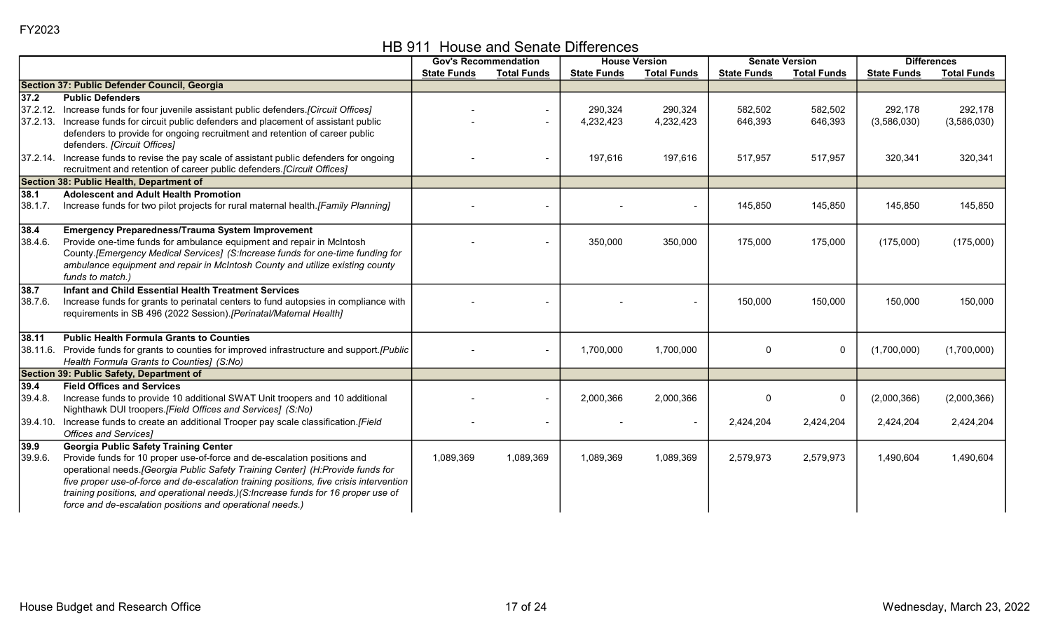|  | HB 911 House and Senate Differences |  |
|--|-------------------------------------|--|
|--|-------------------------------------|--|

|         |                                                                                                                                                                              | <b>Gov's Recommendation</b> |                    | <b>House Version</b> |                    | <b>Senate Version</b> |                    | <b>Differences</b> |                    |
|---------|------------------------------------------------------------------------------------------------------------------------------------------------------------------------------|-----------------------------|--------------------|----------------------|--------------------|-----------------------|--------------------|--------------------|--------------------|
|         |                                                                                                                                                                              | <b>State Funds</b>          | <b>Total Funds</b> | <b>State Funds</b>   | <b>Total Funds</b> | <b>State Funds</b>    | <b>Total Funds</b> | <b>State Funds</b> | <b>Total Funds</b> |
|         | Section 37: Public Defender Council, Georgia                                                                                                                                 |                             |                    |                      |                    |                       |                    |                    |                    |
| $37.2$  | <b>Public Defenders</b>                                                                                                                                                      |                             |                    |                      |                    |                       |                    |                    |                    |
|         | [37.2.12. Increase funds for four juvenile assistant public defenders. [Circuit Offices]                                                                                     |                             |                    | 290,324              | 290,324            | 582,502               | 582,502            | 292,178            | 292,178            |
|         | 37.2.13. Increase funds for circuit public defenders and placement of assistant public                                                                                       |                             |                    | 4,232,423            | 4,232,423          | 646,393               | 646,393            | (3,586,030)        | (3,586,030)        |
|         | defenders to provide for ongoing recruitment and retention of career public                                                                                                  |                             |                    |                      |                    |                       |                    |                    |                    |
|         | defenders. [Circuit Offices]                                                                                                                                                 |                             |                    |                      |                    |                       |                    |                    |                    |
|         | 37.2.14. Increase funds to revise the pay scale of assistant public defenders for ongoing                                                                                    |                             |                    | 197,616              | 197,616            | 517,957               | 517,957            | 320,341            | 320,341            |
|         | recruitment and retention of career public defenders. [Circuit Offices]                                                                                                      |                             |                    |                      |                    |                       |                    |                    |                    |
|         | Section 38: Public Health, Department of                                                                                                                                     |                             |                    |                      |                    |                       |                    |                    |                    |
| 38.1    | <b>Adolescent and Adult Health Promotion</b>                                                                                                                                 |                             |                    |                      |                    |                       |                    |                    |                    |
| 38.1.7. | Increase funds for two pilot projects for rural maternal health. [Family Planning]                                                                                           |                             |                    |                      |                    | 145,850               | 145,850            | 145,850            | 145,850            |
|         |                                                                                                                                                                              |                             |                    |                      |                    |                       |                    |                    |                    |
| 38.4    | <b>Emergency Preparedness/Trauma System Improvement</b>                                                                                                                      |                             |                    |                      |                    |                       |                    |                    |                    |
| 38.4.6. | Provide one-time funds for ambulance equipment and repair in McIntosh                                                                                                        |                             |                    | 350,000              | 350,000            | 175,000               | 175,000            | (175,000)          | (175,000)          |
|         | County.[Emergency Medical Services] (S:Increase funds for one-time funding for                                                                                               |                             |                    |                      |                    |                       |                    |                    |                    |
|         | ambulance equipment and repair in McIntosh County and utilize existing county                                                                                                |                             |                    |                      |                    |                       |                    |                    |                    |
|         | funds to match.)                                                                                                                                                             |                             |                    |                      |                    |                       |                    |                    |                    |
| 38.7    | Infant and Child Essential Health Treatment Services                                                                                                                         |                             |                    |                      |                    |                       |                    |                    |                    |
| 38.7.6. | Increase funds for grants to perinatal centers to fund autopsies in compliance with                                                                                          |                             |                    |                      |                    | 150,000               | 150,000            | 150,000            | 150,000            |
|         | requirements in SB 496 (2022 Session). [Perinatal/Maternal Health]                                                                                                           |                             |                    |                      |                    |                       |                    |                    |                    |
|         |                                                                                                                                                                              |                             |                    |                      |                    |                       |                    |                    |                    |
| 38.11   | <b>Public Health Formula Grants to Counties</b>                                                                                                                              |                             |                    |                      |                    |                       |                    |                    |                    |
|         | 38.11.6. Provide funds for grants to counties for improved infrastructure and support. [Public]                                                                              |                             |                    | 1,700,000            | 1,700,000          | $\Omega$              | 0                  | (1,700,000)        | (1,700,000)        |
|         | Health Formula Grants to Counties] (S:No)                                                                                                                                    |                             |                    |                      |                    |                       |                    |                    |                    |
|         | Section 39: Public Safety, Department of                                                                                                                                     |                             |                    |                      |                    |                       |                    |                    |                    |
| 39.4    | <b>Field Offices and Services</b>                                                                                                                                            |                             |                    |                      |                    |                       |                    |                    |                    |
| 39.4.8. | Increase funds to provide 10 additional SWAT Unit troopers and 10 additional                                                                                                 |                             |                    | 2,000,366            | 2,000,366          | $\Omega$              | 0                  | (2,000,366)        | (2,000,366)        |
|         | Nighthawk DUI troopers.[Field Offices and Services] (S:No)                                                                                                                   |                             |                    |                      |                    |                       |                    |                    |                    |
|         | 39.4.10. Increase funds to create an additional Trooper pay scale classification. [Field                                                                                     |                             |                    |                      |                    | 2,424,204             | 2,424,204          | 2,424,204          | 2,424,204          |
|         | <b>Offices and Services</b> ]                                                                                                                                                |                             |                    |                      |                    |                       |                    |                    |                    |
| 39.9    | <b>Georgia Public Safety Training Center</b>                                                                                                                                 |                             |                    |                      |                    |                       |                    |                    |                    |
| 39.9.6. | Provide funds for 10 proper use-of-force and de-escalation positions and                                                                                                     | 1,089,369                   | 1,089,369          | 1,089,369            | 1,089,369          | 2,579,973             | 2,579,973          | 1,490,604          | 1,490,604          |
|         | operational needs. [Georgia Public Safety Training Center] (H:Provide funds for                                                                                              |                             |                    |                      |                    |                       |                    |                    |                    |
|         | five proper use-of-force and de-escalation training positions, five crisis intervention<br>training positions, and operational needs.)(S:Increase funds for 16 proper use of |                             |                    |                      |                    |                       |                    |                    |                    |
|         |                                                                                                                                                                              |                             |                    |                      |                    |                       |                    |                    |                    |
|         | force and de-escalation positions and operational needs.)                                                                                                                    |                             |                    |                      |                    |                       |                    |                    |                    |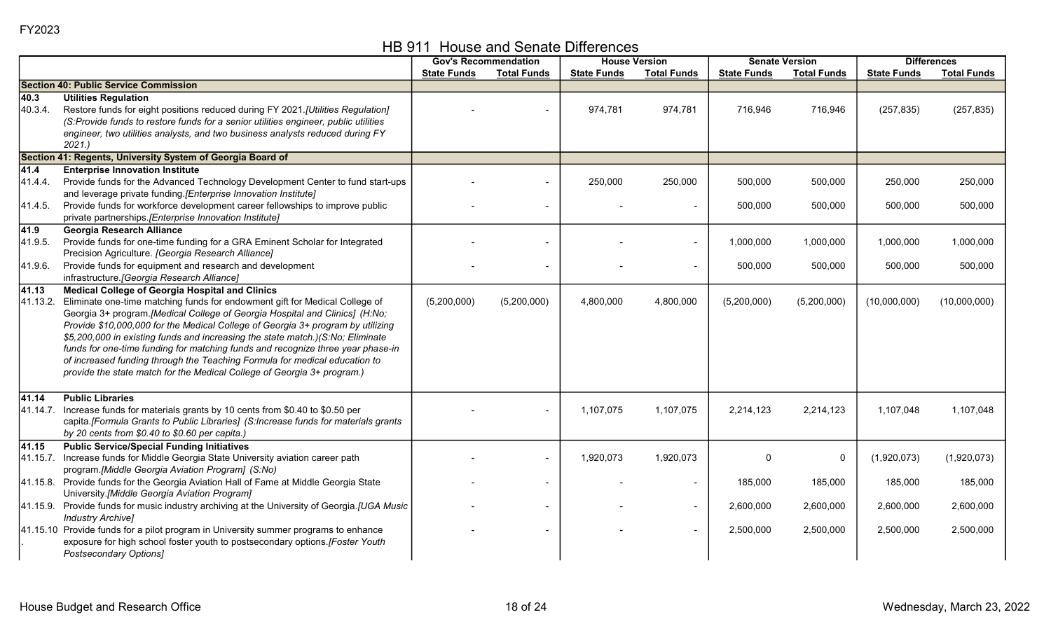HB 911 House and Senate Differences

|                            |                                                                                                                                                                                                                                                                                                                                                                                                                                                                                                                                                                                                                                       |                    | <b>Gov's Recommendation</b> |                    | <b>House Version</b>      | <b>Senate Version</b> |                      |                      | <b>Differences</b>   |
|----------------------------|---------------------------------------------------------------------------------------------------------------------------------------------------------------------------------------------------------------------------------------------------------------------------------------------------------------------------------------------------------------------------------------------------------------------------------------------------------------------------------------------------------------------------------------------------------------------------------------------------------------------------------------|--------------------|-----------------------------|--------------------|---------------------------|-----------------------|----------------------|----------------------|----------------------|
|                            |                                                                                                                                                                                                                                                                                                                                                                                                                                                                                                                                                                                                                                       | <b>State Funds</b> | <b>Total Funds</b>          | <b>State Funds</b> | <b>Total Funds</b>        | <b>State Funds</b>    | <b>Total Funds</b>   | <b>State Funds</b>   | <b>Total Funds</b>   |
|                            | <b>Section 40: Public Service Commission</b>                                                                                                                                                                                                                                                                                                                                                                                                                                                                                                                                                                                          |                    |                             |                    |                           |                       |                      |                      |                      |
| 40.3<br>40.3.4.            | <b>Utilities Regulation</b><br>Restore funds for eight positions reduced during FY 2021.[Utilities Regulation]<br>(S:Provide funds to restore funds for a senior utilities engineer, public utilities<br>engineer, two utilities analysts, and two business analysts reduced during FY<br>2021.                                                                                                                                                                                                                                                                                                                                       |                    |                             | 974,781            | 974,781                   | 716,946               | 716,946              | (257, 835)           | (257, 835)           |
|                            | Section 41: Regents, University System of Georgia Board of                                                                                                                                                                                                                                                                                                                                                                                                                                                                                                                                                                            |                    |                             |                    |                           |                       |                      |                      |                      |
| 41.4<br>41.4.4.<br>41.4.5. | <b>Enterprise Innovation Institute</b><br>Provide funds for the Advanced Technology Development Center to fund start-ups<br>and leverage private funding.[Enterprise Innovation Institute]<br>Provide funds for workforce development career fellowships to improve public<br>private partnerships.[Enterprise Innovation Institute]                                                                                                                                                                                                                                                                                                  |                    | $\blacksquare$              | 250,000            | 250,000<br>$\blacksquare$ | 500,000<br>500,000    | 500,000<br>500,000   | 250,000<br>500,000   | 250,000<br>500,000   |
| 41.9<br>41.9.5.<br>41.9.6. | <b>Georgia Research Alliance</b><br>Provide funds for one-time funding for a GRA Eminent Scholar for Integrated<br>Precision Agriculture. [Georgia Research Alliance]<br>Provide funds for equipment and research and development<br>infrastructure. [Georgia Research Alliance]                                                                                                                                                                                                                                                                                                                                                      |                    |                             |                    | $\overline{\phantom{a}}$  | 1,000,000<br>500,000  | 1,000,000<br>500,000 | 1,000,000<br>500,000 | 1,000,000<br>500,000 |
| 41.13<br>41.13.2.          | <b>Medical College of Georgia Hospital and Clinics</b><br>Eliminate one-time matching funds for endowment gift for Medical College of<br>Georgia 3+ program.[Medical College of Georgia Hospital and Clinics] (H:No;<br>Provide \$10,000,000 for the Medical College of Georgia 3+ program by utilizing<br>\$5,200,000 in existing funds and increasing the state match.)(S:No; Eliminate<br>funds for one-time funding for matching funds and recognize three year phase-in<br>of increased funding through the Teaching Formula for medical education to<br>provide the state match for the Medical College of Georgia 3+ program.) | (5,200,000)        | (5,200,000)                 | 4,800,000          | 4,800,000                 | (5,200,000)           | (5,200,000)          | (10,000,000)         | (10,000,000)         |
| 41.14<br>41.14.7.          | <b>Public Libraries</b><br>Increase funds for materials grants by 10 cents from \$0.40 to \$0.50 per<br>capita.[Formula Grants to Public Libraries] (S:Increase funds for materials grants<br>by 20 cents from \$0.40 to \$0.60 per capita.)                                                                                                                                                                                                                                                                                                                                                                                          |                    | $\blacksquare$              | 1,107,075          | 1,107,075                 | 2,214,123             | 2,214,123            | 1,107,048            | 1,107,048            |
| 41.15<br>41.15.7.          | <b>Public Service/Special Funding Initiatives</b><br>Increase funds for Middle Georgia State University aviation career path<br>program.[Middle Georgia Aviation Program] (S:No)                                                                                                                                                                                                                                                                                                                                                                                                                                                      |                    | $\blacksquare$              | 1,920,073          | 1,920,073                 | 0                     | 0                    | (1,920,073)          | (1,920,073)          |
|                            | 41.15.8. Provide funds for the Georgia Aviation Hall of Fame at Middle Georgia State<br>University.[Middle Georgia Aviation Program]                                                                                                                                                                                                                                                                                                                                                                                                                                                                                                  |                    | $\sim$                      |                    | $\overline{\phantom{a}}$  | 185,000               | 185,000              | 185,000              | 185,000              |
|                            | 41.15.9. Provide funds for music industry archiving at the University of Georgia.[UGA Music<br><b>Industry Archive]</b>                                                                                                                                                                                                                                                                                                                                                                                                                                                                                                               |                    | $\overline{\phantom{0}}$    |                    | $\overline{\phantom{a}}$  | 2,600,000             | 2,600,000            | 2,600,000            | 2,600,000            |
|                            | 41.15.10 Provide funds for a pilot program in University summer programs to enhance<br>exposure for high school foster youth to postsecondary options.[Foster Youth<br>Postsecondary Options]                                                                                                                                                                                                                                                                                                                                                                                                                                         |                    |                             |                    |                           | 2,500,000             | 2,500,000            | 2,500,000            | 2,500,000            |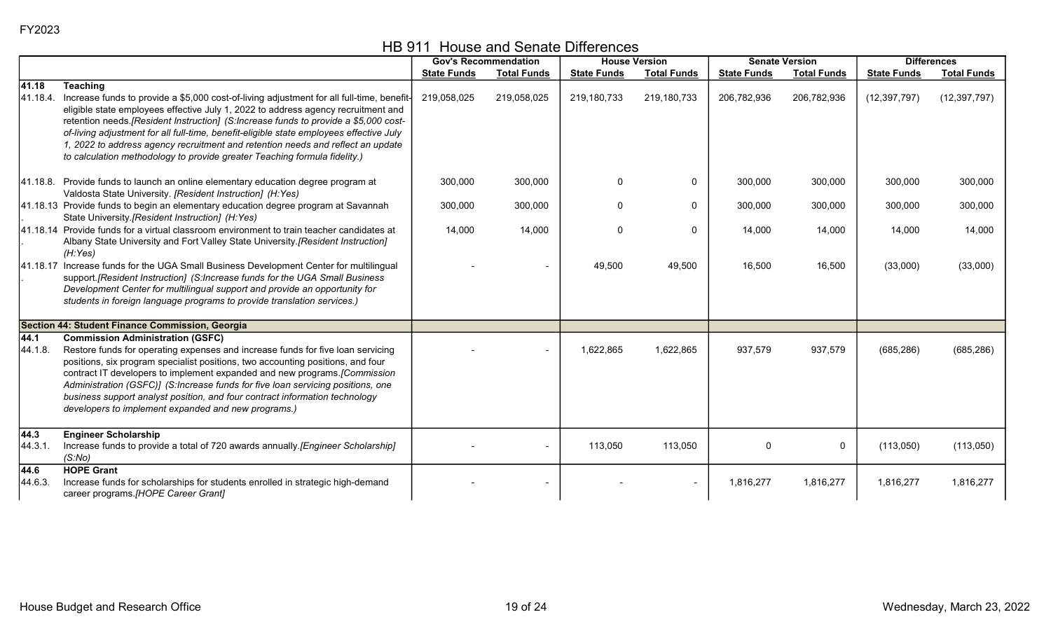HB 911 House and Senate Differences

|                   |                                                                                                                                                                                                                                                                                                                                                                                                                                                                                                                      |                    | <b>Gov's Recommendation</b> |                    | <b>House Version</b> |                    | <b>Senate Version</b> | <b>Differences</b> |                    |
|-------------------|----------------------------------------------------------------------------------------------------------------------------------------------------------------------------------------------------------------------------------------------------------------------------------------------------------------------------------------------------------------------------------------------------------------------------------------------------------------------------------------------------------------------|--------------------|-----------------------------|--------------------|----------------------|--------------------|-----------------------|--------------------|--------------------|
|                   |                                                                                                                                                                                                                                                                                                                                                                                                                                                                                                                      | <b>State Funds</b> | <b>Total Funds</b>          | <b>State Funds</b> | <b>Total Funds</b>   | <b>State Funds</b> | <b>Total Funds</b>    | <b>State Funds</b> | <b>Total Funds</b> |
| 41.18<br>41.18.4. | <b>Teaching</b><br>Increase funds to provide a \$5,000 cost-of-living adjustment for all full-time, benefit-<br>eligible state employees effective July 1, 2022 to address agency recruitment and<br>retention needs.[Resident Instruction] (S:Increase funds to provide a \$5,000 cost-                                                                                                                                                                                                                             | 219,058,025        | 219,058,025                 | 219,180,733        | 219,180,733          | 206,782,936        | 206,782,936           | (12, 397, 797)     | (12, 397, 797)     |
|                   | of-living adjustment for all full-time, benefit-eligible state employees effective July<br>1, 2022 to address agency recruitment and retention needs and reflect an update<br>to calculation methodology to provide greater Teaching formula fidelity.)                                                                                                                                                                                                                                                              |                    |                             |                    |                      |                    |                       |                    |                    |
|                   | 41.18.8. Provide funds to launch an online elementary education degree program at<br>Valdosta State University. [Resident Instruction] (H:Yes)                                                                                                                                                                                                                                                                                                                                                                       | 300,000            | 300,000                     | $\Omega$           | $\mathbf 0$          | 300,000            | 300,000               | 300,000            | 300,000            |
|                   | 41.18.13 Provide funds to begin an elementary education degree program at Savannah<br>State University.[Resident Instruction] (H:Yes)                                                                                                                                                                                                                                                                                                                                                                                | 300,000            | 300,000                     | 0                  | $\mathbf 0$          | 300,000            | 300,000               | 300,000            | 300,000            |
|                   | 41.18.14 Provide funds for a virtual classroom environment to train teacher candidates at<br>Albany State University and Fort Valley State University. [Resident Instruction]<br>(H:Yes)                                                                                                                                                                                                                                                                                                                             | 14,000             | 14,000                      | $\mathbf{0}$       | 0                    | 14,000             | 14,000                | 14,000             | 14,000             |
|                   | 41.18.17 Increase funds for the UGA Small Business Development Center for multilingual<br>support. [Resident Instruction] (S:Increase funds for the UGA Small Business<br>Development Center for multilingual support and provide an opportunity for<br>students in foreign language programs to provide translation services.)                                                                                                                                                                                      |                    |                             | 49,500             | 49,500               | 16,500             | 16,500                | (33,000)           | (33,000)           |
|                   | Section 44: Student Finance Commission, Georgia                                                                                                                                                                                                                                                                                                                                                                                                                                                                      |                    |                             |                    |                      |                    |                       |                    |                    |
| 44.1<br>44.1.8.   | <b>Commission Administration (GSFC)</b><br>Restore funds for operating expenses and increase funds for five loan servicing<br>positions, six program specialist positions, two accounting positions, and four<br>contract IT developers to implement expanded and new programs. [Commission<br>Administration (GSFC)] (S:Increase funds for five loan servicing positions, one<br>business support analyst position, and four contract information technology<br>developers to implement expanded and new programs.) |                    |                             | 1,622,865          | 1,622,865            | 937,579            | 937,579               | (685, 286)         | (685, 286)         |
| 44.3<br>44.3.1.   | <b>Engineer Scholarship</b><br>Increase funds to provide a total of 720 awards annually. [Engineer Scholarship]<br>(S:No)                                                                                                                                                                                                                                                                                                                                                                                            |                    | $\overline{\phantom{a}}$    | 113,050            | 113,050              | $\mathbf{0}$       | 0                     | (113,050)          | (113,050)          |
| 44.6<br>44.6.3.   | <b>HOPE Grant</b><br>Increase funds for scholarships for students enrolled in strategic high-demand<br>career programs.[HOPE Career Grant]                                                                                                                                                                                                                                                                                                                                                                           |                    |                             |                    |                      | 1,816,277          | 1,816,277             | 1,816,277          | 1,816,277          |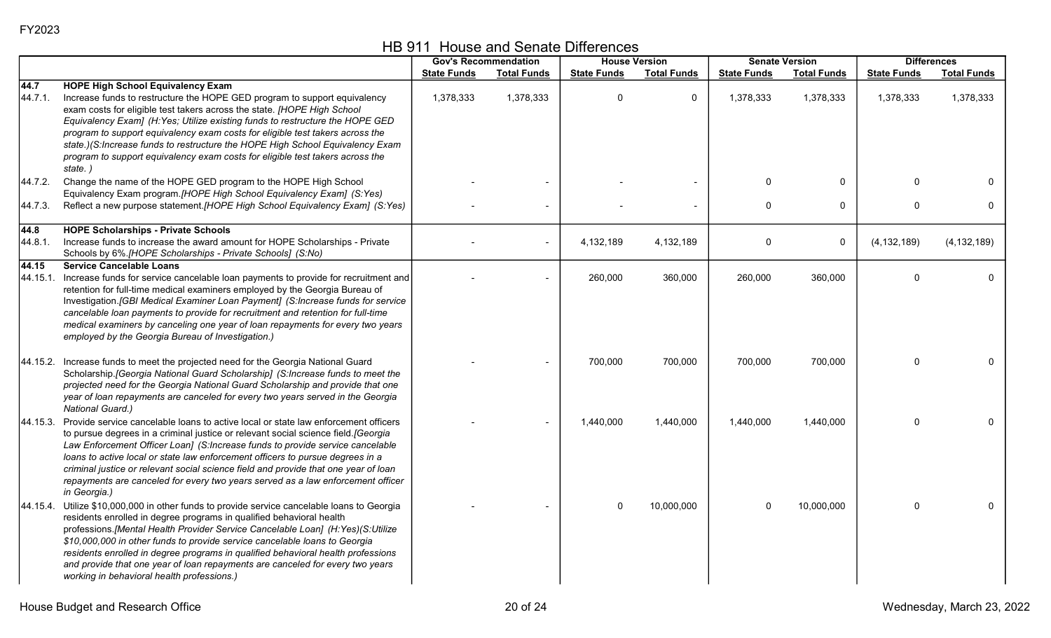|                   |                                                                                                                                                                                                                                                                                                                                                                                                                                                                                                                                                        |                    | <b>Gov's Recommendation</b> |                    | <b>House Version</b> | <b>Senate Version</b> |                    | <b>Differences</b> |                    |
|-------------------|--------------------------------------------------------------------------------------------------------------------------------------------------------------------------------------------------------------------------------------------------------------------------------------------------------------------------------------------------------------------------------------------------------------------------------------------------------------------------------------------------------------------------------------------------------|--------------------|-----------------------------|--------------------|----------------------|-----------------------|--------------------|--------------------|--------------------|
|                   |                                                                                                                                                                                                                                                                                                                                                                                                                                                                                                                                                        | <b>State Funds</b> | <b>Total Funds</b>          | <b>State Funds</b> | <b>Total Funds</b>   | <b>State Funds</b>    | <b>Total Funds</b> | <b>State Funds</b> | <b>Total Funds</b> |
| 44.7<br>44.7.1.   | <b>HOPE High School Equivalency Exam</b><br>Increase funds to restructure the HOPE GED program to support equivalency<br>exam costs for eligible test takers across the state. [HOPE High School<br>Equivalency Exam] (H:Yes; Utilize existing funds to restructure the HOPE GED<br>program to support equivalency exam costs for eligible test takers across the<br>state.)(S:Increase funds to restructure the HOPE High School Equivalency Exam<br>program to support equivalency exam costs for eligible test takers across the<br>state.)         | 1,378,333          | 1,378,333                   | $\mathbf{0}$       | $\mathbf{0}$         | 1,378,333             | 1,378,333          | 1,378,333          | 1,378,333          |
| 44.7.2.           | Change the name of the HOPE GED program to the HOPE High School<br>Equivalency Exam program. [HOPE High School Equivalency Exam] (S:Yes)                                                                                                                                                                                                                                                                                                                                                                                                               |                    |                             |                    |                      | $\mathbf{0}$          | 0                  | $\Omega$           | 0                  |
| 44.7.3.           | Reflect a new purpose statement.[HOPE High School Equivalency Exam] (S:Yes)                                                                                                                                                                                                                                                                                                                                                                                                                                                                            |                    |                             |                    |                      | $\mathbf 0$           | $\mathbf{0}$       | 0                  | 0                  |
| 44.8<br>44.8.1.   | <b>HOPE Scholarships - Private Schools</b><br>Increase funds to increase the award amount for HOPE Scholarships - Private<br>Schools by 6%.[HOPE Scholarships - Private Schools] (S:No)                                                                                                                                                                                                                                                                                                                                                                |                    |                             | 4,132,189          | 4,132,189            | 0                     | 0                  | (4, 132, 189)      | (4, 132, 189)      |
| 44.15<br>44.15.1. | <b>Service Cancelable Loans</b><br>Increase funds for service cancelable loan payments to provide for recruitment and<br>retention for full-time medical examiners employed by the Georgia Bureau of<br>Investigation.[GBI Medical Examiner Loan Payment] (S:Increase funds for service<br>cancelable loan payments to provide for recruitment and retention for full-time<br>medical examiners by canceling one year of loan repayments for every two years<br>employed by the Georgia Bureau of Investigation.)                                      |                    |                             | 260,000            | 360,000              | 260,000               | 360,000            | $\Omega$           | $\mathbf{0}$       |
|                   | 44.15.2. Increase funds to meet the projected need for the Georgia National Guard<br>Scholarship. [Georgia National Guard Scholarship] (S:Increase funds to meet the<br>projected need for the Georgia National Guard Scholarship and provide that one<br>year of loan repayments are canceled for every two years served in the Georgia<br>National Guard.)                                                                                                                                                                                           |                    |                             | 700,000            | 700,000              | 700,000               | 700,000            | 0                  | $\mathbf 0$        |
|                   | 44.15.3. Provide service cancelable loans to active local or state law enforcement officers<br>to pursue degrees in a criminal justice or relevant social science field.[Georgia<br>Law Enforcement Officer Loan] (S:Increase funds to provide service cancelable<br>loans to active local or state law enforcement officers to pursue degrees in a<br>criminal justice or relevant social science field and provide that one year of loan<br>repayments are canceled for every two years served as a law enforcement officer<br>in Georgia.)          |                    |                             | 1,440,000          | 1,440,000            | 1,440,000             | 1,440,000          | $\Omega$           | $\mathbf 0$        |
|                   | 44.15.4. Utilize \$10,000,000 in other funds to provide service cancelable loans to Georgia<br>residents enrolled in degree programs in qualified behavioral health<br>professions.[Mental Health Provider Service Cancelable Loan] (H:Yes)(S:Utilize<br>\$10,000,000 in other funds to provide service cancelable loans to Georgia<br>residents enrolled in degree programs in qualified behavioral health professions<br>and provide that one year of loan repayments are canceled for every two years<br>working in behavioral health professions.) |                    |                             | $\mathbf{0}$       | 10,000,000           | $\Omega$              | 10,000,000         | $\mathbf 0$        | $\mathbf{0}$       |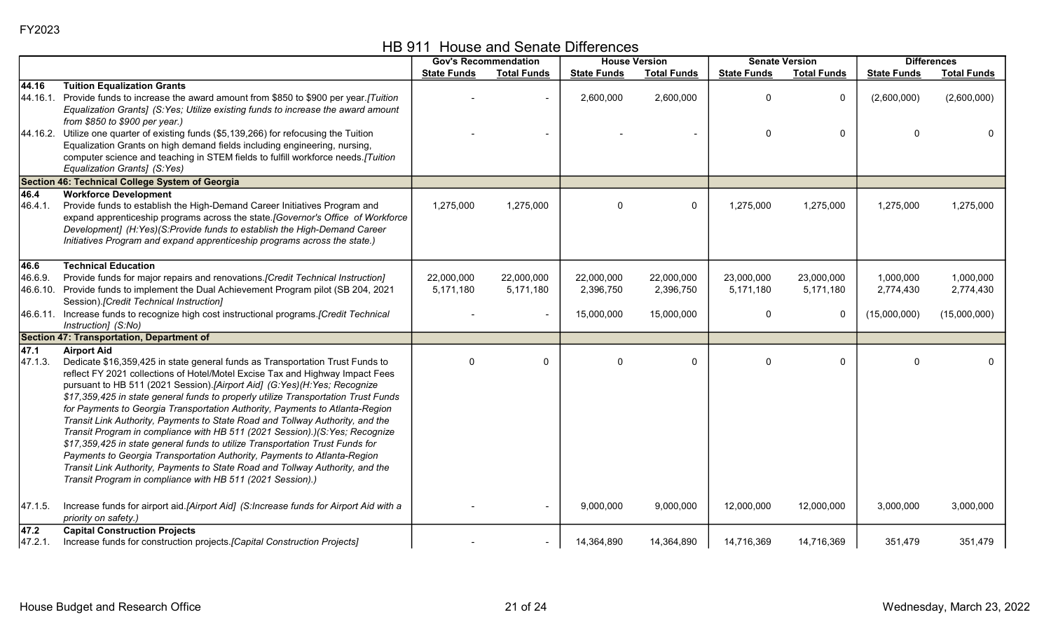| HB 911 House and Senate Differences |  |
|-------------------------------------|--|
|-------------------------------------|--|

|                          |                                                                                                                                                                                                                                                                                                                                                                                                                                                                                                                                                                                                                                                                                                                                                                                                                                                                                                                     |                         | <b>Gov's Recommendation</b> |                         | <b>House Version</b>    |                         | <b>Senate Version</b>   | <b>Differences</b>     |                        |
|--------------------------|---------------------------------------------------------------------------------------------------------------------------------------------------------------------------------------------------------------------------------------------------------------------------------------------------------------------------------------------------------------------------------------------------------------------------------------------------------------------------------------------------------------------------------------------------------------------------------------------------------------------------------------------------------------------------------------------------------------------------------------------------------------------------------------------------------------------------------------------------------------------------------------------------------------------|-------------------------|-----------------------------|-------------------------|-------------------------|-------------------------|-------------------------|------------------------|------------------------|
|                          |                                                                                                                                                                                                                                                                                                                                                                                                                                                                                                                                                                                                                                                                                                                                                                                                                                                                                                                     | <b>State Funds</b>      | <b>Total Funds</b>          | <b>State Funds</b>      | <b>Total Funds</b>      | <b>State Funds</b>      | <b>Total Funds</b>      | <b>State Funds</b>     | <b>Total Funds</b>     |
| 44.16<br>44.16.1.        | <b>Tuition Equalization Grants</b><br>Provide funds to increase the award amount from \$850 to \$900 per year.[Tuition<br>Equalization Grants] (S:Yes; Utilize existing funds to increase the award amount<br>from \$850 to \$900 per year.)                                                                                                                                                                                                                                                                                                                                                                                                                                                                                                                                                                                                                                                                        |                         |                             | 2,600,000               | 2,600,000               | O                       | 0                       | (2,600,000)            | (2,600,000)            |
|                          | 44.16.2. Utilize one quarter of existing funds (\$5,139,266) for refocusing the Tuition<br>Equalization Grants on high demand fields including engineering, nursing,<br>computer science and teaching in STEM fields to fulfill workforce needs.[Tuition<br>Equalization Grants] (S:Yes)                                                                                                                                                                                                                                                                                                                                                                                                                                                                                                                                                                                                                            |                         |                             |                         |                         | $\mathbf{0}$            | $\mathbf 0$             | $\Omega$               | $\Omega$               |
|                          | Section 46: Technical College System of Georgia                                                                                                                                                                                                                                                                                                                                                                                                                                                                                                                                                                                                                                                                                                                                                                                                                                                                     |                         |                             |                         |                         |                         |                         |                        |                        |
| 46.4<br>46.4.1.          | <b>Workforce Development</b><br>Provide funds to establish the High-Demand Career Initiatives Program and<br>expand apprenticeship programs across the state.[Governor's Office of Workforce<br>Development] (H:Yes)(S:Provide funds to establish the High-Demand Career<br>Initiatives Program and expand apprenticeship programs across the state.)                                                                                                                                                                                                                                                                                                                                                                                                                                                                                                                                                               | 1,275,000               | 1,275,000                   | $\Omega$                | $\mathbf 0$             | 1,275,000               | 1,275,000               | 1,275,000              | 1,275,000              |
| 46.6                     | <b>Technical Education</b>                                                                                                                                                                                                                                                                                                                                                                                                                                                                                                                                                                                                                                                                                                                                                                                                                                                                                          |                         |                             |                         |                         |                         |                         |                        |                        |
| 46.6.9.                  | Provide funds for major repairs and renovations. [Credit Technical Instruction]<br>46.6.10. Provide funds to implement the Dual Achievement Program pilot (SB 204, 2021<br>Session).[Credit Technical Instruction]                                                                                                                                                                                                                                                                                                                                                                                                                                                                                                                                                                                                                                                                                                  | 22,000,000<br>5,171,180 | 22,000,000<br>5,171,180     | 22,000,000<br>2,396,750 | 22,000,000<br>2,396,750 | 23,000,000<br>5,171,180 | 23,000,000<br>5,171,180 | 1,000,000<br>2,774,430 | 1,000,000<br>2,774,430 |
|                          | 46.6.11. Increase funds to recognize high cost instructional programs. [Credit Technical<br>Instruction] (S:No)                                                                                                                                                                                                                                                                                                                                                                                                                                                                                                                                                                                                                                                                                                                                                                                                     |                         |                             | 15,000,000              | 15,000,000              | $\Omega$                | 0                       | (15,000,000)           | (15,000,000)           |
|                          | Section 47: Transportation, Department of                                                                                                                                                                                                                                                                                                                                                                                                                                                                                                                                                                                                                                                                                                                                                                                                                                                                           |                         |                             |                         |                         |                         |                         |                        |                        |
| 47.1<br>47.1.3.          | <b>Airport Aid</b><br>Dedicate \$16,359,425 in state general funds as Transportation Trust Funds to<br>reflect FY 2021 collections of Hotel/Motel Excise Tax and Highway Impact Fees<br>pursuant to HB 511 (2021 Session).[Airport Aid] (G:Yes)(H:Yes; Recognize<br>\$17,359,425 in state general funds to properly utilize Transportation Trust Funds<br>for Payments to Georgia Transportation Authority, Payments to Atlanta-Region<br>Transit Link Authority, Payments to State Road and Tollway Authority, and the<br>Transit Program in compliance with HB 511 (2021 Session).)(S: Yes; Recognize<br>\$17,359,425 in state general funds to utilize Transportation Trust Funds for<br>Payments to Georgia Transportation Authority, Payments to Atlanta-Region<br>Transit Link Authority, Payments to State Road and Tollway Authority, and the<br>Transit Program in compliance with HB 511 (2021 Session).) | $\Omega$                | 0                           | $\Omega$                | $\mathbf{0}$            | $\Omega$                | 0                       | $\Omega$               | $\mathbf{0}$           |
| 47.1.5.                  | Increase funds for airport aid.[Airport Aid] (S:Increase funds for Airport Aid with a<br>priority on safety.)                                                                                                                                                                                                                                                                                                                                                                                                                                                                                                                                                                                                                                                                                                                                                                                                       |                         |                             | 9,000,000               | 9,000,000               | 12,000,000              | 12,000,000              | 3,000,000              | 3,000,000              |
| $\sqrt{47.2}$<br>47.2.1. | <b>Capital Construction Projects</b><br>Increase funds for construction projects. [Capital Construction Projects]                                                                                                                                                                                                                                                                                                                                                                                                                                                                                                                                                                                                                                                                                                                                                                                                   |                         |                             | 14,364,890              | 14,364,890              | 14,716,369              | 14,716,369              | 351,479                | 351,479                |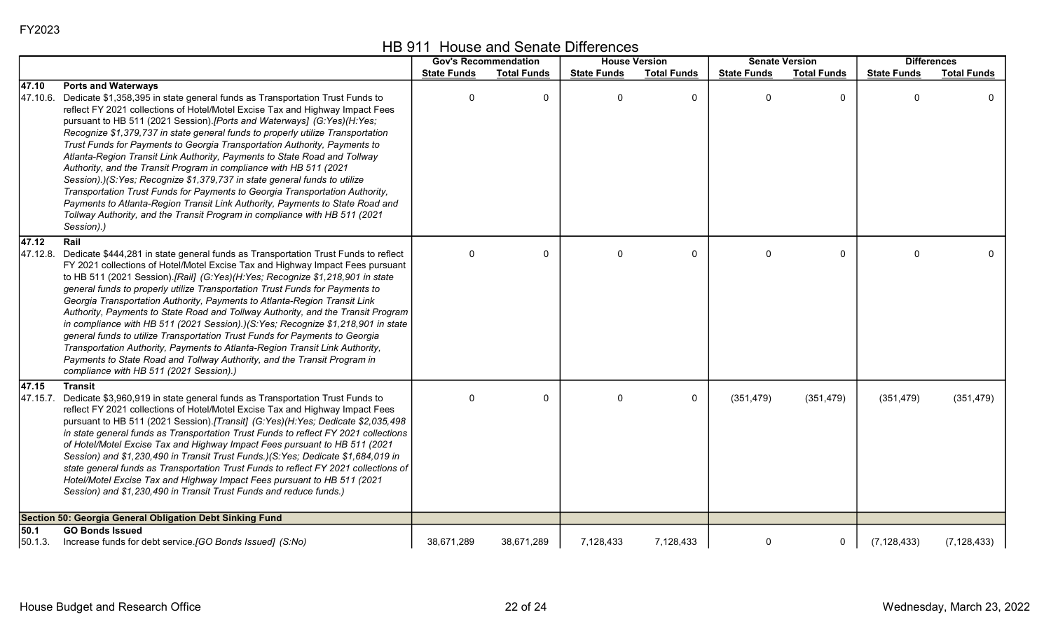|  | HB 911 House and Senate Differences |
|--|-------------------------------------|
|--|-------------------------------------|

|                 |                                                                                                                                                                                                                                                                                                                                                                                                                                                                                                                                                                                                                                                                                                                                                                                                                                                                                                                                             |                    | <b>Gov's Recommendation</b> | <b>House Version</b> |                    | <b>Senate Version</b> |                    |                    | <b>Differences</b> |
|-----------------|---------------------------------------------------------------------------------------------------------------------------------------------------------------------------------------------------------------------------------------------------------------------------------------------------------------------------------------------------------------------------------------------------------------------------------------------------------------------------------------------------------------------------------------------------------------------------------------------------------------------------------------------------------------------------------------------------------------------------------------------------------------------------------------------------------------------------------------------------------------------------------------------------------------------------------------------|--------------------|-----------------------------|----------------------|--------------------|-----------------------|--------------------|--------------------|--------------------|
|                 |                                                                                                                                                                                                                                                                                                                                                                                                                                                                                                                                                                                                                                                                                                                                                                                                                                                                                                                                             | <b>State Funds</b> | <b>Total Funds</b>          | <b>State Funds</b>   | <b>Total Funds</b> | <b>State Funds</b>    | <b>Total Funds</b> | <b>State Funds</b> | <b>Total Funds</b> |
| 47.10           | <b>Ports and Waterways</b><br>47.10.6. Dedicate \$1,358,395 in state general funds as Transportation Trust Funds to<br>reflect FY 2021 collections of Hotel/Motel Excise Tax and Highway Impact Fees<br>pursuant to HB 511 (2021 Session).[Ports and Waterways] (G:Yes)(H:Yes;<br>Recognize \$1,379,737 in state general funds to properly utilize Transportation<br>Trust Funds for Payments to Georgia Transportation Authority, Payments to<br>Atlanta-Region Transit Link Authority, Payments to State Road and Tollway<br>Authority, and the Transit Program in compliance with HB 511 (2021<br>Session).)(S:Yes; Recognize \$1,379,737 in state general funds to utilize<br>Transportation Trust Funds for Payments to Georgia Transportation Authority,<br>Payments to Atlanta-Region Transit Link Authority, Payments to State Road and<br>Tollway Authority, and the Transit Program in compliance with HB 511 (2021<br>Session).) | 0                  | 0                           | $\mathbf{0}$         | $\mathbf 0$        | $\Omega$              | 0                  | ∩                  | $\mathbf{0}$       |
| 47.12           | Rail<br>47.12.8. Dedicate \$444,281 in state general funds as Transportation Trust Funds to reflect<br>FY 2021 collections of Hotel/Motel Excise Tax and Highway Impact Fees pursuant<br>to HB 511 (2021 Session).[Rail] (G:Yes)(H:Yes; Recognize \$1,218,901 in state<br>general funds to properly utilize Transportation Trust Funds for Payments to<br>Georgia Transportation Authority, Payments to Atlanta-Region Transit Link<br>Authority, Payments to State Road and Tollway Authority, and the Transit Program<br>in compliance with HB 511 (2021 Session).)(S:Yes; Recognize \$1,218,901 in state<br>general funds to utilize Transportation Trust Funds for Payments to Georgia<br>Transportation Authority, Payments to Atlanta-Region Transit Link Authority,<br>Payments to State Road and Tollway Authority, and the Transit Program in<br>compliance with HB 511 (2021 Session).)                                           | 0                  | 0                           | $\mathbf{0}$         | $\mathbf 0$        | $\Omega$              | 0                  |                    | $\mathbf{0}$       |
| 47.15           | <b>Transit</b><br>47.15.7. Dedicate \$3,960,919 in state general funds as Transportation Trust Funds to<br>reflect FY 2021 collections of Hotel/Motel Excise Tax and Highway Impact Fees<br>pursuant to HB 511 (2021 Session).[Transit] (G:Yes)(H:Yes; Dedicate \$2,035,498<br>in state general funds as Transportation Trust Funds to reflect FY 2021 collections<br>of Hotel/Motel Excise Tax and Highway Impact Fees pursuant to HB 511 (2021<br>Session) and \$1,230,490 in Transit Trust Funds.)(S:Yes; Dedicate \$1,684,019 in<br>state general funds as Transportation Trust Funds to reflect FY 2021 collections of<br>Hotel/Motel Excise Tax and Highway Impact Fees pursuant to HB 511 (2021<br>Session) and \$1,230,490 in Transit Trust Funds and reduce funds.)                                                                                                                                                                | $\mathbf 0$        | 0                           | $\Omega$             | $\mathbf{0}$       | (351, 479)            | (351, 479)         | (351, 479)         | (351, 479)         |
|                 | Section 50: Georgia General Obligation Debt Sinking Fund                                                                                                                                                                                                                                                                                                                                                                                                                                                                                                                                                                                                                                                                                                                                                                                                                                                                                    |                    |                             |                      |                    |                       |                    |                    |                    |
| 50.1<br>50.1.3. | <b>GO Bonds Issued</b><br>Increase funds for debt service. [GO Bonds Issued] (S:No)                                                                                                                                                                                                                                                                                                                                                                                                                                                                                                                                                                                                                                                                                                                                                                                                                                                         | 38,671,289         | 38,671,289                  | 7,128,433            | 7,128,433          | $\mathbf 0$           | 0                  | (7, 128, 433)      | (7, 128, 433)      |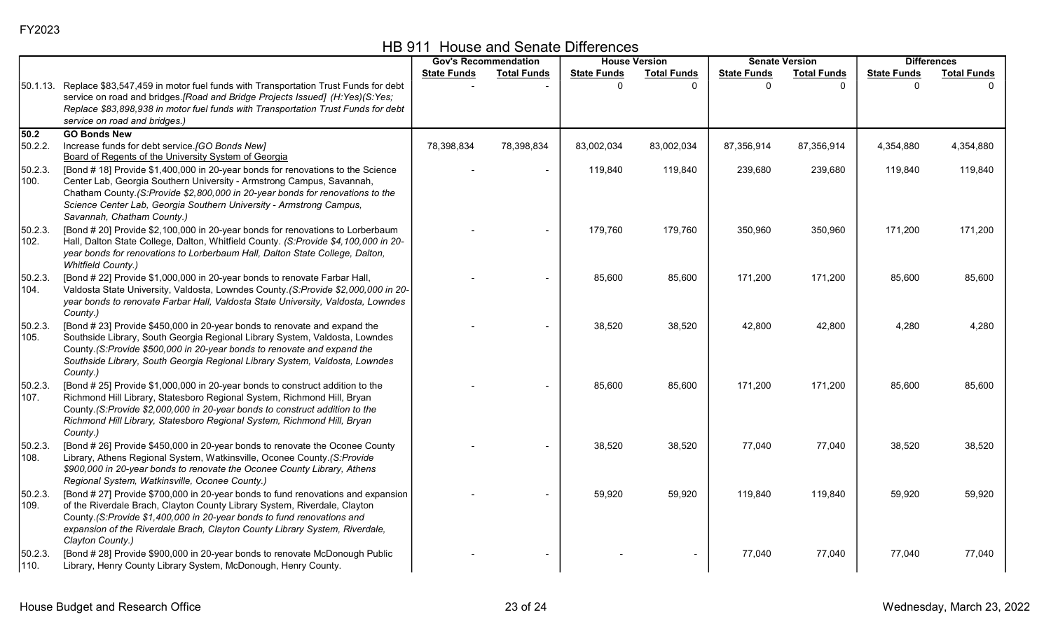|                 |                                                                                                                                                                                                                                                                                                                                                |                    | <b>Gov's Recommendation</b> |                    | <b>House Version</b> |                    | <b>Senate Version</b> |                    | <b>Differences</b> |  |
|-----------------|------------------------------------------------------------------------------------------------------------------------------------------------------------------------------------------------------------------------------------------------------------------------------------------------------------------------------------------------|--------------------|-----------------------------|--------------------|----------------------|--------------------|-----------------------|--------------------|--------------------|--|
|                 |                                                                                                                                                                                                                                                                                                                                                | <b>State Funds</b> | <b>Total Funds</b>          | <b>State Funds</b> | <b>Total Funds</b>   | <b>State Funds</b> | <b>Total Funds</b>    | <b>State Funds</b> | <b>Total Funds</b> |  |
|                 | 50.1.13. Replace \$83,547,459 in motor fuel funds with Transportation Trust Funds for debt<br>service on road and bridges. [Road and Bridge Projects Issued] (H:Yes)(S:Yes;<br>Replace \$83,898,938 in motor fuel funds with Transportation Trust Funds for debt<br>service on road and bridges.)                                              |                    |                             | $\Omega$           |                      | $\Omega$           | $\Omega$              | $\Omega$           |                    |  |
| 50.2            | <b>GO Bonds New</b>                                                                                                                                                                                                                                                                                                                            |                    |                             |                    |                      |                    |                       |                    |                    |  |
| 50.2.2.         | Increase funds for debt service. [GO Bonds New]<br>Board of Regents of the University System of Georgia                                                                                                                                                                                                                                        | 78,398,834         | 78,398,834                  | 83,002,034         | 83,002,034           | 87,356,914         | 87,356,914            | 4,354,880          | 4,354,880          |  |
| 50.2.3.<br>100. | [Bond # 18] Provide \$1,400,000 in 20-year bonds for renovations to the Science<br>Center Lab, Georgia Southern University - Armstrong Campus, Savannah,<br>Chatham County.(S:Provide \$2,800,000 in 20-year bonds for renovations to the<br>Science Center Lab, Georgia Southern University - Armstrong Campus,<br>Savannah, Chatham County.) |                    | $\blacksquare$              | 119,840            | 119,840              | 239,680            | 239,680               | 119,840            | 119,840            |  |
| 50.2.3.<br>102. | [Bond # 20] Provide \$2,100,000 in 20-year bonds for renovations to Lorberbaum<br>Hall, Dalton State College, Dalton, Whitfield County. (S:Provide \$4,100,000 in 20-<br>year bonds for renovations to Lorberbaum Hall, Dalton State College, Dalton,<br><b>Whitfield County.)</b>                                                             |                    |                             | 179,760            | 179,760              | 350,960            | 350,960               | 171,200            | 171,200            |  |
| 50.2.3.<br>104. | [Bond # 22] Provide \$1,000,000 in 20-year bonds to renovate Farbar Hall,<br>Valdosta State University, Valdosta, Lowndes County.(S:Provide \$2,000,000 in 20-<br>year bonds to renovate Farbar Hall, Valdosta State University, Valdosta, Lowndes<br>County.)                                                                                 |                    |                             | 85,600             | 85,600               | 171,200            | 171,200               | 85,600             | 85,600             |  |
| 50.2.3.<br>105. | [Bond # 23] Provide \$450,000 in 20-year bonds to renovate and expand the<br>Southside Library, South Georgia Regional Library System, Valdosta, Lowndes<br>County.(S:Provide \$500,000 in 20-year bonds to renovate and expand the<br>Southside Library, South Georgia Regional Library System, Valdosta, Lowndes<br>County.)                 |                    |                             | 38,520             | 38,520               | 42,800             | 42,800                | 4,280              | 4,280              |  |
| 50.2.3.<br>107. | [Bond # 25] Provide \$1,000,000 in 20-year bonds to construct addition to the<br>Richmond Hill Library, Statesboro Regional System, Richmond Hill, Bryan<br>County.(S:Provide \$2,000,000 in 20-year bonds to construct addition to the<br>Richmond Hill Library, Statesboro Regional System, Richmond Hill, Bryan<br>County.)                 |                    |                             | 85,600             | 85,600               | 171,200            | 171,200               | 85,600             | 85,600             |  |
| 50.2.3.<br>108. | [Bond # 26] Provide \$450,000 in 20-year bonds to renovate the Oconee County<br>Library, Athens Regional System, Watkinsville, Oconee County.(S:Provide<br>\$900,000 in 20-year bonds to renovate the Oconee County Library, Athens<br>Regional System, Watkinsville, Oconee County.)                                                          |                    |                             | 38,520             | 38,520               | 77,040             | 77,040                | 38,520             | 38,520             |  |
| 50.2.3.<br>109. | [Bond # 27] Provide \$700,000 in 20-year bonds to fund renovations and expansion<br>of the Riverdale Brach, Clayton County Library System, Riverdale, Clayton<br>County.(S:Provide \$1,400,000 in 20-year bonds to fund renovations and<br>expansion of the Riverdale Brach, Clayton County Library System, Riverdale,<br>Clayton County.)     |                    |                             | 59,920             | 59,920               | 119,840            | 119,840               | 59,920             | 59,920             |  |
| 50.2.3.<br>110. | [Bond # 28] Provide \$900,000 in 20-year bonds to renovate McDonough Public<br>Library, Henry County Library System, McDonough, Henry County.                                                                                                                                                                                                  |                    |                             |                    |                      | 77,040             | 77,040                | 77,040             | 77,040             |  |